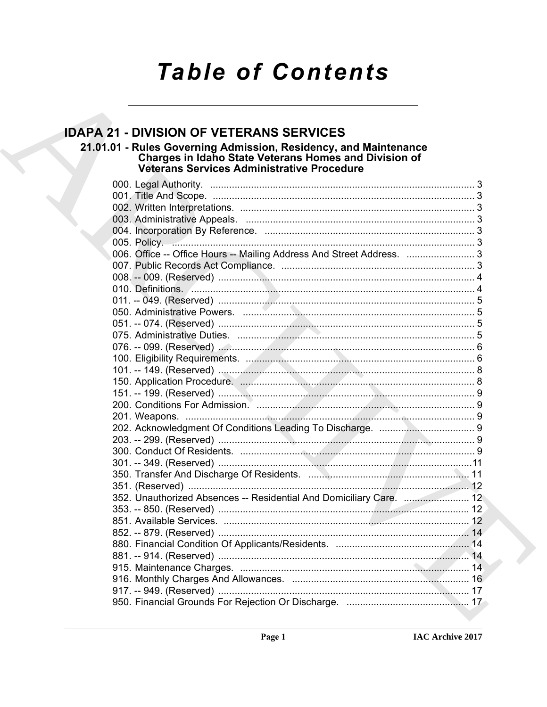## **Table of Contents**

### **IDAPA 21 - DIVISION OF VETERANS SERVICES**

# 21.01.01 - Rules Governing Admission, Residency, and Maintenance<br>Charges in Idaho State Veterans Homes and Division of<br>Veterans Services Administrative Procedure

| 005. Policy. 3                                                        |  |
|-----------------------------------------------------------------------|--|
| 006. Office -- Office Hours -- Mailing Address And Street Address.  3 |  |
|                                                                       |  |
|                                                                       |  |
|                                                                       |  |
|                                                                       |  |
|                                                                       |  |
|                                                                       |  |
|                                                                       |  |
|                                                                       |  |
|                                                                       |  |
|                                                                       |  |
|                                                                       |  |
|                                                                       |  |
|                                                                       |  |
|                                                                       |  |
|                                                                       |  |
|                                                                       |  |
|                                                                       |  |
|                                                                       |  |
|                                                                       |  |
| 352. Unauthorized Absences -- Residential And Domiciliary Care.  12   |  |
|                                                                       |  |
|                                                                       |  |
|                                                                       |  |
|                                                                       |  |
|                                                                       |  |
|                                                                       |  |
|                                                                       |  |
|                                                                       |  |
|                                                                       |  |
|                                                                       |  |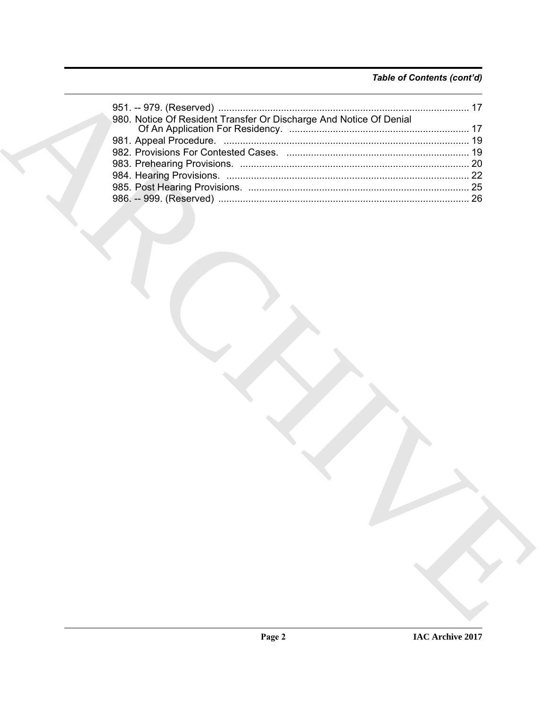#### Table of Contents (cont'd)

| 980. Notice Of Resident Transfer Or Discharge And Notice Of Denial |  |
|--------------------------------------------------------------------|--|
|                                                                    |  |
|                                                                    |  |
|                                                                    |  |
|                                                                    |  |
|                                                                    |  |
|                                                                    |  |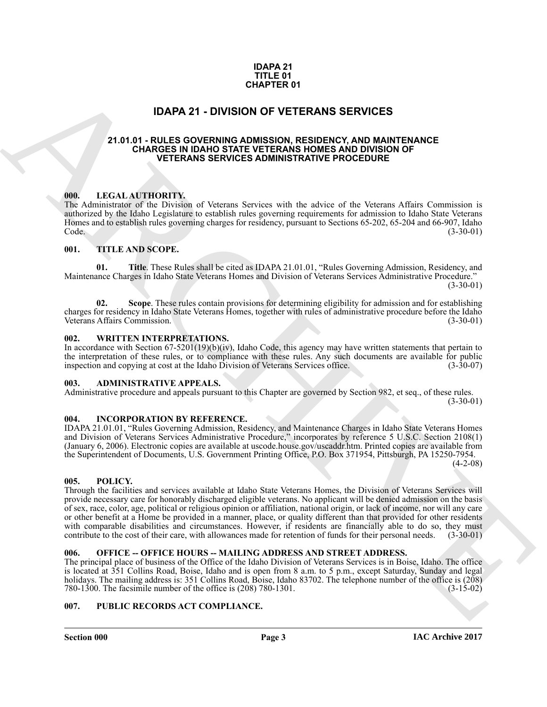#### **IDAPA 21 TITLE 01 CHAPTER 01**

#### **IDAPA 21 - DIVISION OF VETERANS SERVICES**

#### <span id="page-2-1"></span><span id="page-2-0"></span>**21.01.01 - RULES GOVERNING ADMISSION, RESIDENCY, AND MAINTENANCE CHARGES IN IDAHO STATE VETERANS HOMES AND DIVISION OF VETERANS SERVICES ADMINISTRATIVE PROCEDURE**

#### <span id="page-2-2"></span>**000. LEGAL AUTHORITY.**

The Administrator of the Division of Veterans Services with the advice of the Veterans Affairs Commission is authorized by the Idaho Legislature to establish rules governing requirements for admission to Idaho State Veterans Homes and to establish rules governing charges for residency, pursuant to Sections 65-202, 65-204 and 66-907, Idaho<br>(3-30-01) Code. (3-30-01)

#### <span id="page-2-3"></span>**001. TITLE AND SCOPE.**

**01. Title**. These Rules shall be cited as IDAPA 21.01.01, "Rules Governing Admission, Residency, and Maintenance Charges in Idaho State Veterans Homes and Division of Veterans Services Administrative Procedure." (3-30-01)

**02.** Scope. These rules contain provisions for determining eligibility for admission and for establishing charges for residency in Idaho State Veterans Homes, together with rules of administrative procedure before the Idaho Veterans Affairs Commission.

#### <span id="page-2-4"></span>**002. WRITTEN INTERPRETATIONS.**

In accordance with Section 67-5201(19)(b)(iv), Idaho Code, this agency may have written statements that pertain to the interpretation of these rules, or to compliance with these rules. Any such documents are available for public inspection and copying at cost at the Idaho Division of Veterans Services office. (3-30-07) inspection and copying at cost at the Idaho Division of Veterans Services office.

#### <span id="page-2-5"></span>**003. ADMINISTRATIVE APPEALS.**

Administrative procedure and appeals pursuant to this Chapter are governed by Section 982, et seq., of these rules.

 $(3-30-01)$ 

#### <span id="page-2-6"></span>**004. INCORPORATION BY REFERENCE.**

IDAPA 21.01.01, "Rules Governing Admission, Residency, and Maintenance Charges in Idaho State Veterans Homes and Division of Veterans Services Administrative Procedure," incorporates by reference 5 U.S.C. Section 2108(1) (January 6, 2006). Electronic copies are available at uscode.house.gov/uscaddr.htm. Printed copies are available from the Superintendent of Documents, U.S. Government Printing Office, P.O. Box 371954, Pittsburgh, PA 15250-7954.  $(4-2-08)$ 

#### <span id="page-2-7"></span>**005. POLICY.**

**EXAMPLE 10**<br> **IDAPA 21 - DIVISION OF OVERENANS SERVICES**<br>
21.01.01 - RULES GOVERNIMO IN OVERENANS SERVICES AND INSURANCE TRANSPORTATION AND MUNITERMANCE<br>
21.01.01 - RULES COVERNIMO ARCHIVES AND INSURANCE AND MUNITERMINO Through the facilities and services available at Idaho State Veterans Homes, the Division of Veterans Services will provide necessary care for honorably discharged eligible veterans. No applicant will be denied admission on the basis of sex, race, color, age, political or religious opinion or affiliation, national origin, or lack of income, nor will any care or other benefit at a Home be provided in a manner, place, or quality different than that provided for other residents with comparable disabilities and circumstances. However, if residents are financially able to do so, they must<br>contribute to the cost of their care, with allowances made for retention of funds for their personal needs. (3contribute to the cost of their care, with allowances made for retention of funds for their personal needs.

#### <span id="page-2-8"></span>**006. OFFICE -- OFFICE HOURS -- MAILING ADDRESS AND STREET ADDRESS.**

The principal place of business of the Office of the Idaho Division of Veterans Services is in Boise, Idaho. The office is located at 351 Collins Road, Boise, Idaho and is open from 8 a.m. to 5 p.m., except Saturday, Sunday and legal holidays. The mailing address is: 351 Collins Road, Boise, Idaho 83702. The telephone number of the office is (208) 780-1300. The facsimile number of the office is (208) 780-1301. (3-15-02) 780-1300. The facsimile number of the office is  $(208)$  780-1301.

#### <span id="page-2-9"></span>**007. PUBLIC RECORDS ACT COMPLIANCE.**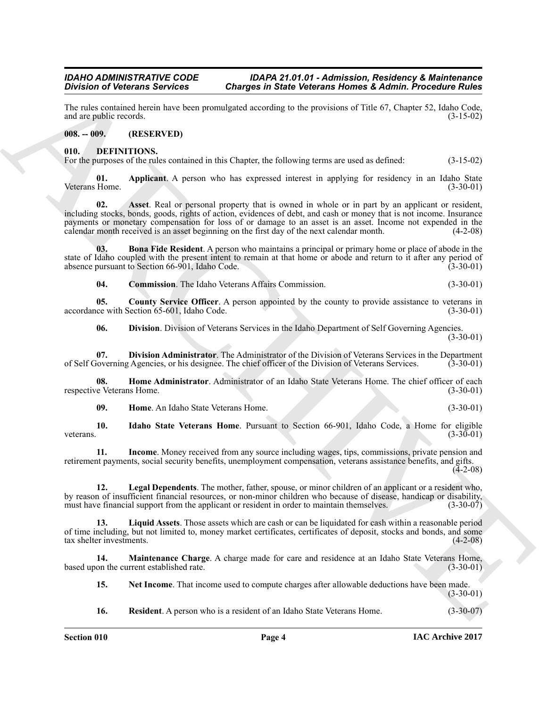The rules contained herein have been promulgated according to the provisions of Title 67, Chapter 52, Idaho Code, and are public records. (3-15-02) and are public records.

#### <span id="page-3-0"></span>**008. -- 009. (RESERVED)**

#### <span id="page-3-2"></span><span id="page-3-1"></span>**010. DEFINITIONS.**

For the purposes of the rules contained in this Chapter, the following terms are used as defined: (3-15-02)

<span id="page-3-4"></span><span id="page-3-3"></span>**01. Applicant** A person who has expressed interest in applying for residency in an Idaho State Home. (3-30-01) Veterans Home.

Division of Vectorians Services Charges in State Velocratic Services Charges in Admit Proceeding Repubble to the specific control of the specific control of the specific control of the specific control of the specific con **02. Asset**. Real or personal property that is owned in whole or in part by an applicant or resident, including stocks, bonds, goods, rights of action, evidences of debt, and cash or money that is not income. Insurance payments or monetary compensation for loss of or damage to an asset is an asset. Income not expended in the calendar month received is an asset beginning on the first day of the next calendar month. (4-2-08) calendar month received is an asset beginning on the first day of the next calendar month.

**03. Bona Fide Resident**. A person who maintains a principal or primary home or place of abode in the state of Idaho coupled with the present intent to remain at that home or abode and return to it after any period of absence pursuant to Section 66-901. Idaho Code. absence pursuant to Section 66-901, Idaho Code.

<span id="page-3-7"></span><span id="page-3-6"></span><span id="page-3-5"></span>**04. Commission**. The Idaho Veterans Affairs Commission. (3-30-01)

**05.** County Service Officer. A person appointed by the county to provide assistance to veterans in ce with Section 65-601, Idaho Code. (3-30-01) accordance with Section 65-601, Idaho Code.

<span id="page-3-9"></span><span id="page-3-8"></span>**06. Division**. Division of Veterans Services in the Idaho Department of Self Governing Agencies. (3-30-01)

**07. Division Administrator**. The Administrator of the Division of Veterans Services in the Department loverning Agencies, or his designee. The chief officer of the Division of Veterans Services. (3-30-01) of Self Governing Agencies, or his designee. The chief officer of the Division of Veterans Services.

**08. Home Administrator**. Administrator of an Idaho State Veterans Home. The chief officer of each e Veterans Home. (3-30-01) respective Veterans Home.

<span id="page-3-13"></span><span id="page-3-12"></span><span id="page-3-11"></span><span id="page-3-10"></span>**09. Home**. An Idaho State Veterans Home. (3-30-01)

**10. Idaho State Veterans Home**. Pursuant to Section 66-901, Idaho Code, a Home for eligible veterans. (3-30-01)

**11. Income**. Money received from any source including wages, tips, commissions, private pension and retirement payments, social security benefits, unemployment compensation, veterans assistance benefits, and gifts.  $(4-2-08)$ 

<span id="page-3-14"></span>**12. Legal Dependents**. The mother, father, spouse, or minor children of an applicant or a resident who, by reason of insufficient financial resources, or non-minor children who because of disease, handicap or disability, must have financial support from the applicant or resident in order to maintain themselves. (3-30-07) must have financial support from the applicant or resident in order to maintain themselves.

<span id="page-3-15"></span>**13. Liquid Assets**. Those assets which are cash or can be liquidated for cash within a reasonable period of time including, but not limited to, money market certificates, certificates of deposit, stocks and bonds, and some tax shelter investments.

**14. Maintenance Charge**. A charge made for care and residence at an Idaho State Veterans Home, on the current established rate. (3-30-01) based upon the current established rate.

<span id="page-3-17"></span><span id="page-3-16"></span>**15. Net Income**. That income used to compute charges after allowable deductions have been made. (3-30-01)

<span id="page-3-18"></span>**16. Resident**. A person who is a resident of an Idaho State Veterans Home. (3-30-07)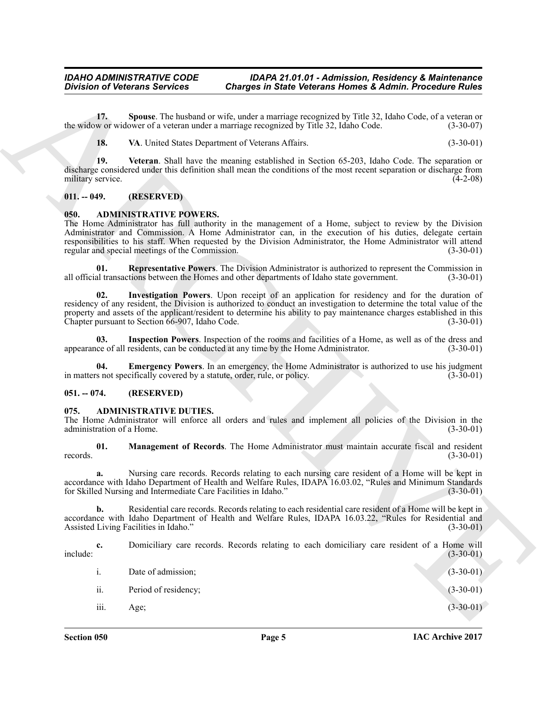#### <span id="page-4-13"></span><span id="page-4-12"></span><span id="page-4-11"></span><span id="page-4-0"></span>**011. -- 049. (RESERVED)**

#### <span id="page-4-10"></span><span id="page-4-9"></span><span id="page-4-6"></span><span id="page-4-1"></span>**050. ADMINISTRATIVE POWERS.**

#### <span id="page-4-8"></span><span id="page-4-7"></span><span id="page-4-2"></span>**051. -- 074. (RESERVED)**

#### <span id="page-4-5"></span><span id="page-4-4"></span><span id="page-4-3"></span>**075. ADMINISTRATIVE DUTIES.**

| <b>Division of Veterans Services</b>                                                     | <b>Charges in State Veterans Homes &amp; Admin. Procedure Rules</b>                                                                                                                                                                                                                                                                          |             |
|------------------------------------------------------------------------------------------|----------------------------------------------------------------------------------------------------------------------------------------------------------------------------------------------------------------------------------------------------------------------------------------------------------------------------------------------|-------------|
| 17.                                                                                      | Spouse. The husband or wife, under a marriage recognized by Title 32, Idaho Code, of a veteran or<br>the widow or widower of a veteran under a marriage recognized by Title 32, Idaho Code.                                                                                                                                                  | $(3-30-07)$ |
| 18.                                                                                      | VA. United States Department of Veterans Affairs.                                                                                                                                                                                                                                                                                            | $(3-30-01)$ |
| 19.<br>military service.                                                                 | Veteran. Shall have the meaning established in Section 65-203, Idaho Code. The separation or<br>discharge considered under this definition shall mean the conditions of the most recent separation or discharge from                                                                                                                         | $(4-2-08)$  |
| (RESERVED)<br>$011. - 049.$                                                              |                                                                                                                                                                                                                                                                                                                                              |             |
| <b>ADMINISTRATIVE POWERS.</b><br>050.<br>regular and special meetings of the Commission. | The Home Administrator has full authority in the management of a Home, subject to review by the Division<br>Administrator and Commission. A Home Administrator can, in the execution of his duties, delegate certain<br>responsibilities to his staff. When requested by the Division Administrator, the Home Administrator will attend      | $(3-30-01)$ |
| 01.                                                                                      | <b>Representative Powers</b> . The Division Administrator is authorized to represent the Commission in<br>all official transactions between the Homes and other departments of Idaho state government.                                                                                                                                       | $(3-30-01)$ |
| 02.<br>Chapter pursuant to Section 66-907, Idaho Code.                                   | Investigation Powers. Upon receipt of an application for residency and for the duration of<br>residency of any resident, the Division is authorized to conduct an investigation to determine the total value of the<br>property and assets of the applicant/resident to determine his ability to pay maintenance charges established in this | $(3-30-01)$ |
| 03.                                                                                      | Inspection Powers. Inspection of the rooms and facilities of a Home, as well as of the dress and<br>appearance of all residents, can be conducted at any time by the Home Administrator.                                                                                                                                                     | $(3-30-01)$ |
| 04.<br>in matters not specifically covered by a statute, order, rule, or policy.         | <b>Emergency Powers.</b> In an emergency, the Home Administrator is authorized to use his judgment                                                                                                                                                                                                                                           | $(3-30-01)$ |
| $051. - 074.$<br>(RESERVED)                                                              |                                                                                                                                                                                                                                                                                                                                              |             |
| <b>ADMINISTRATIVE DUTIES.</b><br>075.<br>administration of a Home.                       | The Home Administrator will enforce all orders and rules and implement all policies of the Division in the                                                                                                                                                                                                                                   | $(3-30-01)$ |
| 01.<br>records.                                                                          | Management of Records. The Home Administrator must maintain accurate fiscal and resident                                                                                                                                                                                                                                                     | $(3-30-01)$ |
| a.<br>for Skilled Nursing and Intermediate Care Facilities in Idaho."                    | Nursing care records. Records relating to each nursing care resident of a Home will be kept in<br>accordance with Idaho Department of Health and Welfare Rules, IDAPA 16.03.02, "Rules and Minimum Standards                                                                                                                                 | $(3-30-01)$ |
| b.<br>Assisted Living Facilities in Idaho."                                              | Residential care records. Records relating to each residential care resident of a Home will be kept in<br>accordance with Idaho Department of Health and Welfare Rules, IDAPA 16.03.22, "Rules for Residential and                                                                                                                           | $(3-30-01)$ |
| c.<br>include:                                                                           | Domiciliary care records. Records relating to each domiciliary care resident of a Home will                                                                                                                                                                                                                                                  | $(3-30-01)$ |
| i.<br>Date of admission;                                                                 |                                                                                                                                                                                                                                                                                                                                              | $(3-30-01)$ |
| ii.<br>Period of residency;                                                              |                                                                                                                                                                                                                                                                                                                                              | $(3-30-01)$ |
| iii.<br>Age;                                                                             |                                                                                                                                                                                                                                                                                                                                              | $(3-30-01)$ |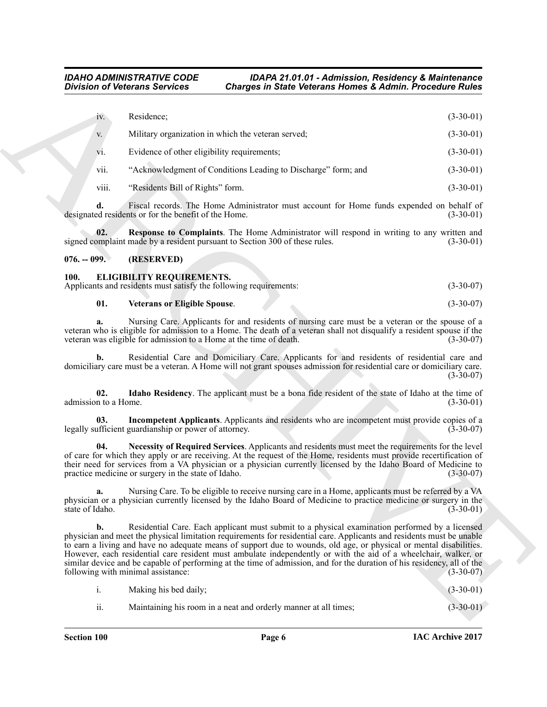|                                          | <b>Division of Veterans Services</b>                  | <b>Charges in State Veterans Homes &amp; Admin. Procedure Rules</b>                                                                                                                                                                                                                                                                                                                                                                                                                                                                                                                         |                                                                 |             |
|------------------------------------------|-------------------------------------------------------|---------------------------------------------------------------------------------------------------------------------------------------------------------------------------------------------------------------------------------------------------------------------------------------------------------------------------------------------------------------------------------------------------------------------------------------------------------------------------------------------------------------------------------------------------------------------------------------------|-----------------------------------------------------------------|-------------|
| iv.                                      | Residence;                                            |                                                                                                                                                                                                                                                                                                                                                                                                                                                                                                                                                                                             |                                                                 | $(3-30-01)$ |
| V.                                       |                                                       | Military organization in which the veteran served;                                                                                                                                                                                                                                                                                                                                                                                                                                                                                                                                          |                                                                 | $(3-30-01)$ |
| V1.                                      | Evidence of other eligibility requirements;           |                                                                                                                                                                                                                                                                                                                                                                                                                                                                                                                                                                                             |                                                                 | $(3-30-01)$ |
| vii.                                     |                                                       | "Acknowledgment of Conditions Leading to Discharge" form; and                                                                                                                                                                                                                                                                                                                                                                                                                                                                                                                               |                                                                 | $(3-30-01)$ |
| viii.                                    | "Residents Bill of Rights" form.                      |                                                                                                                                                                                                                                                                                                                                                                                                                                                                                                                                                                                             |                                                                 | $(3-30-01)$ |
| d.                                       | designated residents or for the benefit of the Home.  | Fiscal records. The Home Administrator must account for Home funds expended on behalf of                                                                                                                                                                                                                                                                                                                                                                                                                                                                                                    |                                                                 | $(3-30-01)$ |
| 02.                                      |                                                       | Response to Complaints. The Home Administrator will respond in writing to any written and<br>signed complaint made by a resident pursuant to Section 300 of these rules.                                                                                                                                                                                                                                                                                                                                                                                                                    |                                                                 | $(3-30-01)$ |
| $076. - 099.$                            | (RESERVED)                                            |                                                                                                                                                                                                                                                                                                                                                                                                                                                                                                                                                                                             |                                                                 |             |
| <b>100.</b>                              | <b>ELIGIBILITY REQUIREMENTS.</b>                      | Applicants and residents must satisfy the following requirements:                                                                                                                                                                                                                                                                                                                                                                                                                                                                                                                           |                                                                 | $(3-30-07)$ |
| 01.                                      | <b>Veterans or Eligible Spouse.</b>                   |                                                                                                                                                                                                                                                                                                                                                                                                                                                                                                                                                                                             |                                                                 | $(3-30-07)$ |
|                                          |                                                       | Nursing Care. Applicants for and residents of nursing care must be a veteran or the spouse of a<br>veteran who is eligible for admission to a Home. The death of a veteran shall not disqualify a resident spouse if the<br>veteran was eligible for admission to a Home at the time of death.                                                                                                                                                                                                                                                                                              |                                                                 | $(3-30-07)$ |
| b.                                       |                                                       | Residential Care and Domiciliary Care. Applicants for and residents of residential care and<br>domiciliary care must be a veteran. A Home will not grant spouses admission for residential care or domiciliary care.                                                                                                                                                                                                                                                                                                                                                                        |                                                                 | $(3-30-07)$ |
| 02.<br>admission to a Home.              |                                                       | Idaho Residency. The applicant must be a bona fide resident of the state of Idaho at the time of                                                                                                                                                                                                                                                                                                                                                                                                                                                                                            |                                                                 | $(3-30-01)$ |
| 03.                                      | legally sufficient guardianship or power of attorney. | Incompetent Applicants. Applicants and residents who are incompetent must provide copies of a                                                                                                                                                                                                                                                                                                                                                                                                                                                                                               |                                                                 | $(3-30-07)$ |
| 04.                                      | practice medicine or surgery in the state of Idaho.   | Necessity of Required Services. Applicants and residents must meet the requirements for the level<br>of care for which they apply or are receiving. At the request of the Home, residents must provide recertification of<br>their need for services from a VA physician or a physician currently licensed by the Idaho Board of Medicine to                                                                                                                                                                                                                                                |                                                                 | $(3-30-07)$ |
| a.<br>state of Idaho.                    |                                                       | Nursing Care. To be eligible to receive nursing care in a Home, applicants must be referred by a VA<br>physician or a physician currently licensed by the Idaho Board of Medicine to practice medicine or surgery in the                                                                                                                                                                                                                                                                                                                                                                    |                                                                 | $(3-30-01)$ |
| b.<br>following with minimal assistance: |                                                       | Residential Care. Each applicant must submit to a physical examination performed by a licensed<br>physician and meet the physical limitation requirements for residential care. Applicants and residents must be unable<br>to earn a living and have no adequate means of support due to wounds, old age, or physical or mental disabilities.<br>However, each residential care resident must ambulate independently or with the aid of a wheelchair, walker, or<br>similar device and be capable of performing at the time of admission, and for the duration of his residency, all of the |                                                                 | $(3-30-07)$ |
| $\mathbf{i}$ .                           | Making his bed daily;                                 |                                                                                                                                                                                                                                                                                                                                                                                                                                                                                                                                                                                             |                                                                 | $(3-30-01)$ |
|                                          |                                                       |                                                                                                                                                                                                                                                                                                                                                                                                                                                                                                                                                                                             | Maintaining his room in a neat and orderly manner at all times; |             |

#### <span id="page-5-2"></span><span id="page-5-0"></span>**076. -- 099. (RESERVED)**

#### <span id="page-5-3"></span><span id="page-5-1"></span>**100. ELIGIBILITY REQUIREMENTS.**

| Applicants and residents must satisfy the following requirements: |  | $(3-30-07)$ |
|-------------------------------------------------------------------|--|-------------|
|                                                                   |  |             |

#### <span id="page-5-7"></span><span id="page-5-6"></span><span id="page-5-5"></span><span id="page-5-4"></span>**01. Veterans or Eligible Spouse**. (3-30-07)

|     | Making his bed daily;                                           | $(3-30-01)$ |
|-----|-----------------------------------------------------------------|-------------|
| ii. | Maintaining his room in a neat and orderly manner at all times; | $(3-30-01)$ |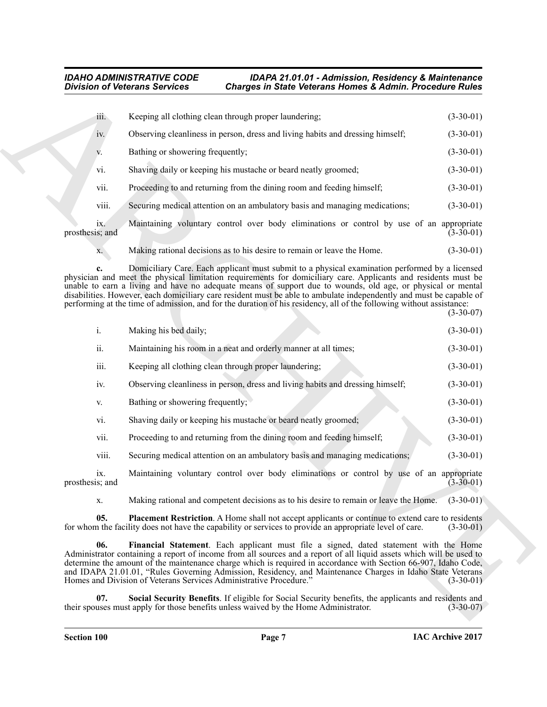<span id="page-6-2"></span><span id="page-6-1"></span><span id="page-6-0"></span>

|                 | iii.  | Keeping all clothing clean through proper laundering;                                    | $(3-30-01)$ |
|-----------------|-------|------------------------------------------------------------------------------------------|-------------|
|                 | iv.   | Observing cleanliness in person, dress and living habits and dressing himself;           | $(3-30-01)$ |
|                 | V.    | Bathing or showering frequently;                                                         | $(3-30-01)$ |
|                 | vi.   | Shaving daily or keeping his mustache or beard neatly groomed;                           | $(3-30-01)$ |
|                 | vii.  | Proceeding to and returning from the dining room and feeding himself;                    | $(3-30-01)$ |
|                 | viii. | Securing medical attention on an ambulatory basis and managing medications;              | $(3-30-01)$ |
| prosthesis; and | 1X.   | Maintaining voluntary control over body eliminations or control by use of an appropriate | $(3-30-01)$ |

|                        | <b>Division of Veterans Services</b> | <b>Charges in State Veterans Homes &amp; Admin. Procedure Rules</b>                                                                                                                                                                                                                                                                                                                                                                                                                                                                                                            |             |
|------------------------|--------------------------------------|--------------------------------------------------------------------------------------------------------------------------------------------------------------------------------------------------------------------------------------------------------------------------------------------------------------------------------------------------------------------------------------------------------------------------------------------------------------------------------------------------------------------------------------------------------------------------------|-------------|
| iii.                   |                                      | Keeping all clothing clean through proper laundering;                                                                                                                                                                                                                                                                                                                                                                                                                                                                                                                          | $(3-30-01)$ |
| iv.                    |                                      | Observing cleanliness in person, dress and living habits and dressing himself;                                                                                                                                                                                                                                                                                                                                                                                                                                                                                                 | $(3-30-01)$ |
| V.                     | Bathing or showering frequently;     |                                                                                                                                                                                                                                                                                                                                                                                                                                                                                                                                                                                | $(3-30-01)$ |
| vi.                    |                                      | Shaving daily or keeping his mustache or beard neatly groomed;                                                                                                                                                                                                                                                                                                                                                                                                                                                                                                                 | $(3-30-01)$ |
| vii.                   |                                      | Proceeding to and returning from the dining room and feeding himself;                                                                                                                                                                                                                                                                                                                                                                                                                                                                                                          | $(3-30-01)$ |
| viii.                  |                                      | Securing medical attention on an ambulatory basis and managing medications;                                                                                                                                                                                                                                                                                                                                                                                                                                                                                                    | $(3-30-01)$ |
| ix.<br>prosthesis; and |                                      | Maintaining voluntary control over body eliminations or control by use of an appropriate                                                                                                                                                                                                                                                                                                                                                                                                                                                                                       | $(3-30-01)$ |
| X.                     |                                      | Making rational decisions as to his desire to remain or leave the Home.                                                                                                                                                                                                                                                                                                                                                                                                                                                                                                        | $(3-30-01)$ |
| c.                     |                                      | Domiciliary Care. Each applicant must submit to a physical examination performed by a licensed<br>physician and meet the physical limitation requirements for domiciliary care. Applicants and residents must be<br>unable to earn a living and have no adequate means of support due to wounds, old age, or physical or mental<br>disabilities. However, each domiciliary care resident must be able to ambulate independently and must be capable of<br>performing at the time of admission, and for the duration of his residency, all of the following without assistance: | $(3-30-07)$ |
| i.                     | Making his bed daily;                |                                                                                                                                                                                                                                                                                                                                                                                                                                                                                                                                                                                | $(3-30-01)$ |
| ii.                    |                                      | Maintaining his room in a neat and orderly manner at all times;                                                                                                                                                                                                                                                                                                                                                                                                                                                                                                                | $(3-30-01)$ |
| iii.                   |                                      | Keeping all clothing clean through proper laundering;                                                                                                                                                                                                                                                                                                                                                                                                                                                                                                                          | $(3-30-01)$ |
| iv.                    |                                      | Observing cleanliness in person, dress and living habits and dressing himself;                                                                                                                                                                                                                                                                                                                                                                                                                                                                                                 | $(3-30-01)$ |
| V.                     | Bathing or showering frequently;     |                                                                                                                                                                                                                                                                                                                                                                                                                                                                                                                                                                                | $(3-30-01)$ |
| vi.                    |                                      | Shaving daily or keeping his mustache or beard neatly groomed;                                                                                                                                                                                                                                                                                                                                                                                                                                                                                                                 | $(3-30-01)$ |
| vii.                   |                                      | Proceeding to and returning from the dining room and feeding himself;                                                                                                                                                                                                                                                                                                                                                                                                                                                                                                          | $(3-30-01)$ |
| viii.                  |                                      | Securing medical attention on an ambulatory basis and managing medications;                                                                                                                                                                                                                                                                                                                                                                                                                                                                                                    | $(3-30-01)$ |
| 1X.<br>prosthesis; and |                                      | Maintaining voluntary control over body eliminations or control by use of an appropriate                                                                                                                                                                                                                                                                                                                                                                                                                                                                                       | $(3-30-01)$ |
| X.                     |                                      | Making rational and competent decisions as to his desire to remain or leave the Home.                                                                                                                                                                                                                                                                                                                                                                                                                                                                                          | $(3-30-01)$ |
| 05.                    |                                      | Placement Restriction. A Home shall not accept applicants or continue to extend care to residents<br>for whom the facility does not have the capability or services to provide an appropriate level of care.                                                                                                                                                                                                                                                                                                                                                                   | $(3-30-01)$ |
| 06.                    |                                      | Financial Statement. Each applicant must file a signed, dated statement with the Home<br>Administrator containing a report of income from all sources and a report of all liquid assets which will be used to<br>determine the amount of the maintenance charge which is required in accordance with Section 66-907, Idaho Code,<br>and IDAPA 21.01.01, "Rules Governing Admission, Residency, and Maintenance Charges in Idaho State Veterans<br>Homes and Division of Veterans Services Administrative Procedure."                                                           | $(3-30-01)$ |
| 07.                    |                                      | Social Security Benefits. If eligible for Social Security benefits, the applicants and residents and<br>their spouses must apply for those benefits unless waived by the Home Administrator.                                                                                                                                                                                                                                                                                                                                                                                   | $(3-30-07)$ |
|                        |                                      |                                                                                                                                                                                                                                                                                                                                                                                                                                                                                                                                                                                |             |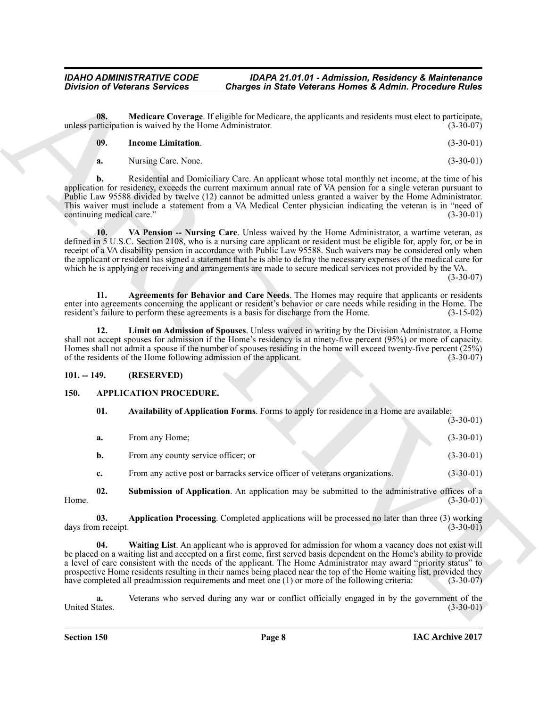**08. Medicare Coverage**. If eligible for Medicare, the applicants and residents must elect to participate, *(3-30-07) (3-30-07)* unless participation is waived by the Home Administrator. (3-30-07)

<span id="page-7-10"></span>

| 09. | <b>Income Limitation.</b> | $(3-30-01)$ |
|-----|---------------------------|-------------|
|     |                           |             |

<span id="page-7-11"></span><span id="page-7-8"></span>**a.** Nursing Care. None. (3-30-01)

**b.** Residential and Domiciliary Care. An applicant whose total monthly net income, at the time of his application for residency, exceeds the current maximum annual rate of VA pension for a single veteran pursuant to Public Law 95588 divided by twelve (12) cannot be admitted unless granted a waiver by the Home Administrator. This waiver must include a statement from a VA Medical Center physician indicating the veteran is in "need of continuing medical care." (3-30-01) continuing medical care."

Division of Veltecoms Services Charges in State Veltecoms Homes & Admin Procedure Rules<br>
Measure of the properties Charges in State Veltecoms Homes & Admin Procedure Rules<br>
Measure of the properties Charges Education Cont **10. VA Pension -- Nursing Care**. Unless waived by the Home Administrator, a wartime veteran, as defined in 5 U.S.C. Section 2108, who is a nursing care applicant or resident must be eligible for, apply for, or be in receipt of a VA disability pension in accordance with Public Law 95588. Such waivers may be considered only when the applicant or resident has signed a statement that he is able to defray the necessary expenses of the medical care for which he is applying or receiving and arrangements are made to secure medical services not provided by the VA. (3-30-07)

<span id="page-7-7"></span>**11. Agreements for Behavior and Care Needs**. The Homes may require that applicants or residents enter into agreements concerning the applicant or resident's behavior or care needs while residing in the Home. The resident's failure to perform these agreements is a basis for discharge from the Home. (3-15-02)

<span id="page-7-9"></span>**12. Limit on Admission of Spouses**. Unless waived in writing by the Division Administrator, a Home shall not accept spouses for admission if the Home's residency is at ninety-five percent (95%) or more of capacity. Homes shall not admit a spouse if the number of spouses residing in the home will exceed twenty-five percent (25%) of the residents of the Home following admission of the applicant. (3-30-07) of the residents of the Home following admission of the applicant.

#### <span id="page-7-0"></span>**101. -- 149. (RESERVED)**

#### <span id="page-7-1"></span>**150. APPLICATION PROCEDURE.**

<span id="page-7-4"></span><span id="page-7-2"></span>**01. Availability of Application Forms**. Forms to apply for residence in a Home are available: (3-30-01)

<span id="page-7-5"></span>

| a. | From any Home:                                                              | $(3-30-01)$ |
|----|-----------------------------------------------------------------------------|-------------|
| b. | From any county service officer; or                                         | $(3-30-01)$ |
| c. | From any active post or barracks service officer of veterans organizations. | $(3-30-01)$ |

**02.** Submission of Application. An application may be submitted to the administrative offices of a (3-30-01) Home. (3-30-01)

<span id="page-7-3"></span>**03. Application Processing**. Completed applications will be processed no later than three (3) working days from receipt. (3-30-01) (3-30-01)

<span id="page-7-6"></span>**04. Waiting List**. An applicant who is approved for admission for whom a vacancy does not exist will be placed on a waiting list and accepted on a first come, first served basis dependent on the Home's ability to provide a level of care consistent with the needs of the applicant. The Home Administrator may award "priority status" to prospective Home residents resulting in their names being placed near the top of the Home waiting list, provided they<br>have completed all preadmission requirements and meet one (1) or more of the following criteria: (3-30-0 have completed all preadmission requirements and meet one (1) or more of the following criteria:

**a.** Veterans who served during any war or conflict officially engaged in by the government of the tates.  $(3-30-01)$ United States.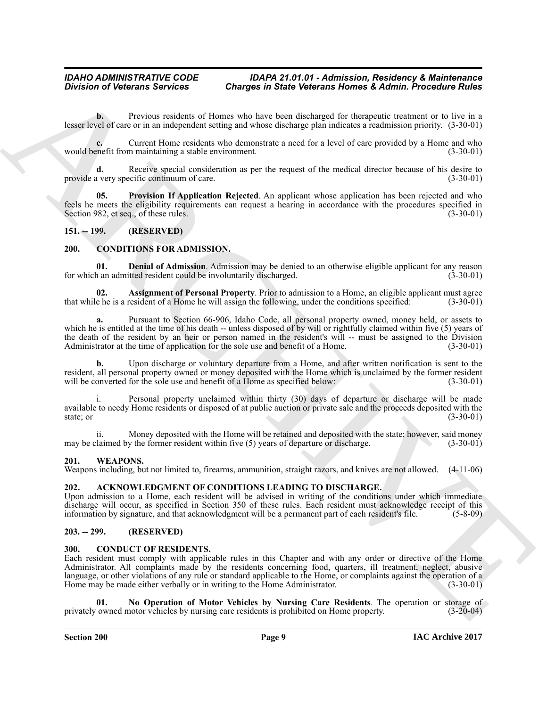**b.** Previous residents of Homes who have been discharged for therapeutic treatment or to live in a lesser level of care or in an independent setting and whose discharge plan indicates a readmission priority. (3-30-01)

**c.** Current Home residents who demonstrate a need for a level of care provided by a Home and who enefit from maintaining a stable environment. (3-30-01) would benefit from maintaining a stable environment.

Receive special consideration as per the request of the medical director because of his desire to ecific continuum of care. provide a very specific continuum of care.

<span id="page-8-7"></span>**05. Provision If Application Rejected**. An applicant whose application has been rejected and who feels he meets the eligibility requirements can request a hearing in accordance with the procedures specified in Section 982, et seq., of these rules. (3-30-01) Section 982, et seq., of these rules.

#### <span id="page-8-8"></span><span id="page-8-0"></span>**151. -- 199. (RESERVED)**

#### <span id="page-8-1"></span>**200. CONDITIONS FOR ADMISSION.**

<span id="page-8-10"></span>**01. Denial of Admission**. Admission may be denied to an otherwise eligible applicant for any reason n an admitted resident could be involuntarily discharged. (3-30-01) for which an admitted resident could be involuntarily discharged.

<span id="page-8-9"></span>**02. Assignment of Personal Property**. Prior to admission to a Home, an eligible applicant must agree e he is a resident of a Home he will assign the following, under the conditions specified: (3-30-01) that while he is a resident of a Home he will assign the following, under the conditions specified:

**a.** Pursuant to Section 66-906, Idaho Code, all personal property owned, money held, or assets to which he is entitled at the time of his death -- unless disposed of by will or rightfully claimed within five (5) years of the death of the resident by an heir or person named in the resident's will -- must be assigned to the Division Administrator at the time of application for the sole use and benefit of a Home. (3-30-01) Administrator at the time of application for the sole use and benefit of a Home.

**b.** Upon discharge or voluntary departure from a Home, and after written notification is sent to the resident, all personal property owned or money deposited with the Home which is unclaimed by the former resident will be converted for the sole use and benefit of a Home as specified below: (3-30-01) will be converted for the sole use and benefit of a Home as specified below:

i. Personal property unclaimed within thirty (30) days of departure or discharge will be made available to needy Home residents or disposed of at public auction or private sale and the proceeds deposited with the state; or (3-30-01) state; or  $(3-30-01)$ 

ii. Money deposited with the Home will be retained and deposited with the state; however, said money claimed by the former resident within five (5) years of departure or discharge. (3-30-01) may be claimed by the former resident within five  $(5)$  years of departure or discharge.

#### <span id="page-8-13"></span><span id="page-8-2"></span>**201. WEAPONS.**

Weapons including, but not limited to, firearms, ammunition, straight razors, and knives are not allowed. (4-11-06)

#### <span id="page-8-6"></span><span id="page-8-3"></span>**202. ACKNOWLEDGMENT OF CONDITIONS LEADING TO DISCHARGE.**

Upon admission to a Home, each resident will be advised in writing of the conditions under which immediate discharge will occur, as specified in Section 350 of these rules. Each resident must acknowledge receipt of this information by signature, and that acknowledgment will be a permanent part of each resident's file. (5-8-09) information by signature, and that acknowledgment will be a permanent part of each resident's file.

#### <span id="page-8-4"></span>**203. -- 299. (RESERVED)**

#### <span id="page-8-11"></span><span id="page-8-5"></span>**300. CONDUCT OF RESIDENTS.**

Division of Veterans Services Charges in State Veterans Homes & Admin. Procedure Rules<br>
Lead the Corona contents of the service of the two divisions of the division of the service of the service of the service of the serv Each resident must comply with applicable rules in this Chapter and with any order or directive of the Home Administrator. All complaints made by the residents concerning food, quarters, ill treatment, neglect, abusive language, or other violations of any rule or standard applicable to the Home, or complaints against the operation of a<br>Home may be made either verbally or in writing to the Home Administrator. (3-30-01) Home may be made either verbally or in writing to the Home Administrator.

<span id="page-8-12"></span>**No Operation of Motor Vehicles by Nursing Care Residents**. The operation or storage of motor vehicles by nursing care residents is prohibited on Home property. (3-20-04) privately owned motor vehicles by nursing care residents is prohibited on Home property.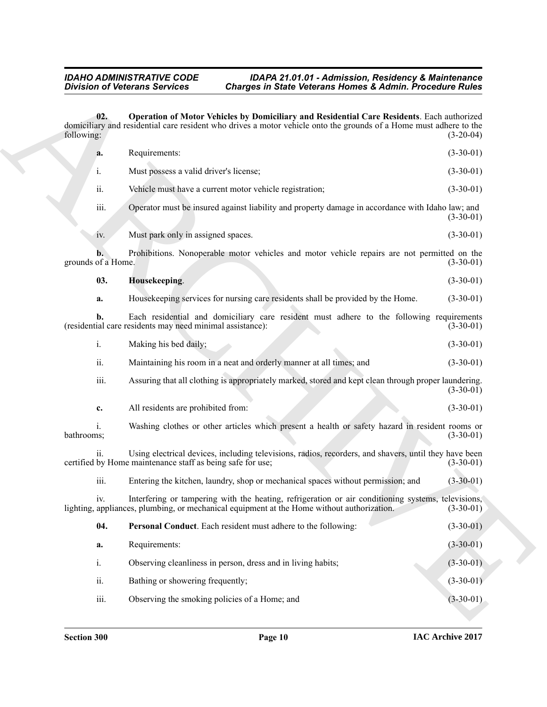<span id="page-9-1"></span><span id="page-9-0"></span>Division of Victorians Services Charges in State Velocians Momes & Admini Procedure Riubs<br>
(a), Operation of Motor Velocians (a) and Reduction of Reduction of the State Velocians (a) (a) (a) (a) (b) (a) (b) (b) (b) (b) (b **02. Operation of Motor Vehicles by Domiciliary and Residential Care Residents**. Each authorized domiciliary and residential care resident who drives a motor vehicle onto the grounds of a Home must adhere to the following: (3-20-04) following: (3-20-04) **a.** Requirements: (3-30-01) i. Must possess a valid driver's license; (3-30-01) ii. Vehicle must have a current motor vehicle registration; (3-30-01) iii. Operator must be insured against liability and property damage in accordance with Idaho law; and (3-30-01) iv. Must park only in assigned spaces. (3-30-01) **b.** Prohibitions. Nonoperable motor vehicles and motor vehicle repairs are not permitted on the of a Home. (3-30-01) grounds of a Home. **03. Housekeeping**. (3-30-01) **a.** Housekeeping services for nursing care residents shall be provided by the Home. (3-30-01) **b.** Each residential and domiciliary care resident must adhere to the following requirements ial care residents may need minimal assistance): (3-30-01) (residential care residents may need minimal assistance): i. Making his bed daily; (3-30-01) ii. Maintaining his room in a neat and orderly manner at all times; and (3-30-01) iii. Assuring that all clothing is appropriately marked, stored and kept clean through proper laundering. (3-30-01) **c.** All residents are prohibited from: (3-30-01) i. Washing clothes or other articles which present a health or safety hazard in resident rooms or bathrooms; (3-30-01) bathrooms; (3-30-01) ii. Using electrical devices, including televisions, radios, recorders, and shavers, until they have been<br>by Home maintenance staff as being safe for use: (3-30-01) certified by Home maintenance staff as being safe for use; iii. Entering the kitchen, laundry, shop or mechanical spaces without permission; and (3-30-01) iv. Interfering or tampering with the heating, refrigeration or air conditioning systems, televisions, appliances, plumbing, or mechanical equipment at the Home without authorization. (3-30-01) lighting, appliances, plumbing, or mechanical equipment at the Home without authorization. **04. Personal Conduct**. Each resident must adhere to the following: (3-30-01) **a.** Requirements: (3-30-01) i. Observing cleanliness in person, dress and in living habits; (3-30-01) ii. Bathing or showering frequently; (3-30-01) iii. Observing the smoking policies of a Home; and (3-30-01)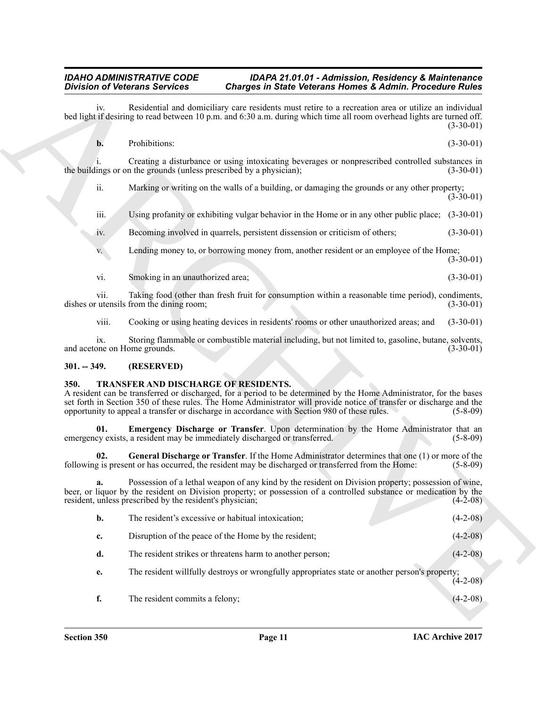#### <span id="page-10-0"></span>**301. -- 349. (RESERVED)**

#### <span id="page-10-4"></span><span id="page-10-3"></span><span id="page-10-2"></span><span id="page-10-1"></span>**350. TRANSFER AND DISCHARGE OF RESIDENTS.**

|               | <b>Division of Veterans Services</b><br><b>Charges in State Veterans Homes &amp; Admin. Procedure Rules</b>                                                                                                                                                                                                                                                                         |                                                                        |
|---------------|-------------------------------------------------------------------------------------------------------------------------------------------------------------------------------------------------------------------------------------------------------------------------------------------------------------------------------------------------------------------------------------|------------------------------------------------------------------------|
| iv.           | Residential and domiciliary care residents must retire to a recreation area or utilize an individual<br>bed light if desiring to read between 10 p.m. and 6:30 a.m. during which time all room overhead lights are turned off.                                                                                                                                                      | $(3-30-01)$                                                            |
| b.            | Prohibitions:                                                                                                                                                                                                                                                                                                                                                                       | $(3-30-01)$                                                            |
|               | Creating a disturbance or using intoxicating beverages or nonprescribed controlled substances in<br>the buildings or on the grounds (unless prescribed by a physician);                                                                                                                                                                                                             | $(3-30-01)$                                                            |
| ii.           | Marking or writing on the walls of a building, or damaging the grounds or any other property;                                                                                                                                                                                                                                                                                       | $(3-30-01)$                                                            |
| iii.          | Using profanity or exhibiting vulgar behavior in the Home or in any other public place; (3-30-01)                                                                                                                                                                                                                                                                                   |                                                                        |
| 1V.           | Becoming involved in quarrels, persistent dissension or criticism of others;                                                                                                                                                                                                                                                                                                        | $(3-30-01)$                                                            |
| V.            | Lending money to, or borrowing money from, another resident or an employee of the Home;                                                                                                                                                                                                                                                                                             | $(3-30-01)$                                                            |
| vi.           | Smoking in an unauthorized area;                                                                                                                                                                                                                                                                                                                                                    | $(3-30-01)$                                                            |
| V11.          | Taking food (other than fresh fruit for consumption within a reasonable time period), condiments,<br>dishes or utensils from the dining room;                                                                                                                                                                                                                                       | $(3-30-01)$                                                            |
| viii.         | Cooking or using heating devices in residents' rooms or other unauthorized areas; and                                                                                                                                                                                                                                                                                               | $(3-30-01)$                                                            |
| 1X.           | Storing flammable or combustible material including, but not limited to, gasoline, butane, solvents,<br>and acetone on Home grounds.                                                                                                                                                                                                                                                | $(3-30-01)$                                                            |
| $301. - 349.$ | (RESERVED)                                                                                                                                                                                                                                                                                                                                                                          |                                                                        |
| <b>350.</b>   | TRANSFER AND DISCHARGE OF RESIDENTS.<br>A resident can be transferred or discharged, for a period to be determined by the Home Administrator, for the bases<br>set forth in Section 350 of these rules. The Home Administrator will provide notice of transfer or discharge and the<br>opportunity to appeal a transfer or discharge in accordance with Section 980 of these rules. | $(5-8-09)$                                                             |
|               |                                                                                                                                                                                                                                                                                                                                                                                     |                                                                        |
| 01.           | Emergency Discharge or Transfer. Upon determination by the Home Administrator that an<br>emergency exists, a resident may be immediately discharged or transferred.                                                                                                                                                                                                                 |                                                                        |
| 02.           | General Discharge or Transfer. If the Home Administrator determines that one (1) or more of the<br>following is present or has occurred, the resident may be discharged or transferred from the Home:                                                                                                                                                                               |                                                                        |
| a.            | Possession of a lethal weapon of any kind by the resident on Division property; possession of wine,<br>beer, or liquor by the resident on Division property; or possession of a controlled substance or medication by the<br>resident, unless prescribed by the resident's physician;                                                                                               |                                                                        |
| b.            | The resident's excessive or habitual intoxication;                                                                                                                                                                                                                                                                                                                                  |                                                                        |
| c.            | Disruption of the peace of the Home by the resident;                                                                                                                                                                                                                                                                                                                                | $(5 - 8 - 09)$<br>$(5-8-09)$<br>$(4-2-08)$<br>$(4-2-08)$<br>$(4-2-08)$ |
| d.            | The resident strikes or threatens harm to another person;                                                                                                                                                                                                                                                                                                                           | $(4-2-08)$                                                             |
| e.            | The resident willfully destroys or wrongfully appropriates state or another person's property;                                                                                                                                                                                                                                                                                      | $(4-2-08)$                                                             |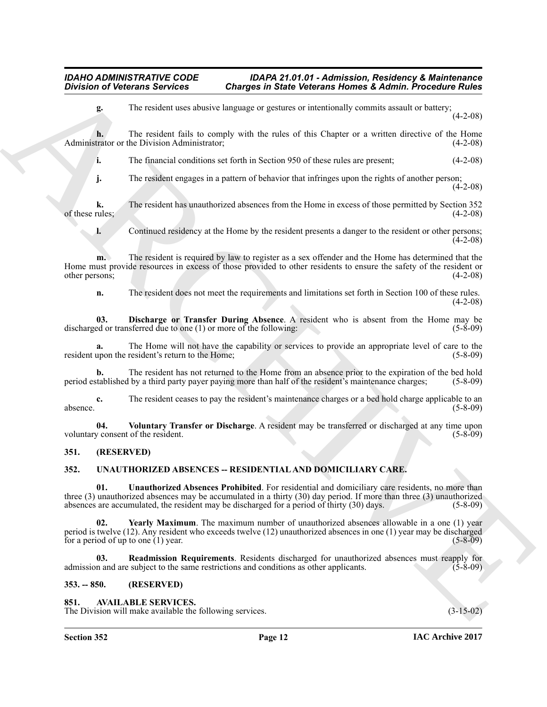**g.** The resident uses abusive language or gestures or intentionally commits assault or battery;  $(4-2-08)$ 

**h.** The resident fails to comply with the rules of this Chapter or a written directive of the Home trator or the Division Administrator; (4-2-08) Administrator or the Division Administrator;

**i.** The financial conditions set forth in Section 950 of these rules are present; (4-2-08)

**j.** The resident engages in a pattern of behavior that infringes upon the rights of another person;  $(4-2-08)$ 

**k.** The resident has unauthorized absences from the Home in excess of those permitted by Section 352 (4-2-08) of these rules;

**l.** Continued residency at the Home by the resident presents a danger to the resident or other persons;  $(4 - 2 - 08)$ 

**Division of Veterans Services Charges in State Veterans Romes & Admin Procedure Rides<br>
1. In case of the scale of this complete in the case of the Universal methods of the scale of the scale of the scale of the scale of m.** The resident is required by law to register as a sex offender and the Home has determined that the Home must provide resources in excess of those provided to other residents to ensure the safety of the resident or other persons; (4-2-08) (4-2-08)

<span id="page-11-5"></span>**n.** The resident does not meet the requirements and limitations set forth in Section 100 of these rules. (4-2-08)

**03. Discharge or Transfer During Absence**. A resident who is absent from the Home may be ed or transferred due to one (1) or more of the following: (5-8-09) discharged or transferred due to one  $(1)$  or more of the following:

**a.** The Home will not have the capability or services to provide an appropriate level of care to the resident upon the resident's return to the Home; (5-8-09) (5-8-09)

**b.** The resident has not returned to the Home from an absence prior to the expiration of the bed hold tablished by a third party payer paying more than half of the resident's maintenance charges; (5-8-09) period established by a third party payer paying more than half of the resident's maintenance charges; (5-8-09)

**c.** The resident ceases to pay the resident's maintenance charges or a bed hold charge applicable to an (5-8-09) absence. (5-8-09)

<span id="page-11-10"></span>**04. Voluntary Transfer or Discharge**. A resident may be transferred or discharged at any time upon voluntary consent of the resident.

#### <span id="page-11-0"></span>**351. (RESERVED)**

#### <span id="page-11-6"></span><span id="page-11-1"></span>**352. UNAUTHORIZED ABSENCES -- RESIDENTIAL AND DOMICILIARY CARE.**

<span id="page-11-8"></span>**01. Unauthorized Absences Prohibited**. For residential and domiciliary care residents, no more than three (3) unauthorized absences may be accumulated in a thirty (30) day period. If more than three (3) unauthorized absences are accumulated, the resident may be discharged for a period of thirty (30) days. (5-8-09)

<span id="page-11-9"></span>**Yearly Maximum**. The maximum number of unauthorized absences allowable in a one (1) year period is twelve (12). Any resident who exceeds twelve (12) unauthorized absences in one (1) year may be discharged for a period of up to one (1) year.  $(5-8-09)$ 

<span id="page-11-7"></span>**03. Readmission Requirements**. Residents discharged for unauthorized absences must reapply for admission and are subject to the same restrictions and conditions as other applicants. (5-8-09)

#### <span id="page-11-2"></span>**353. -- 850. (RESERVED)**

#### <span id="page-11-4"></span><span id="page-11-3"></span>**851. AVAILABLE SERVICES.**

The Division will make available the following services. (3-15-02)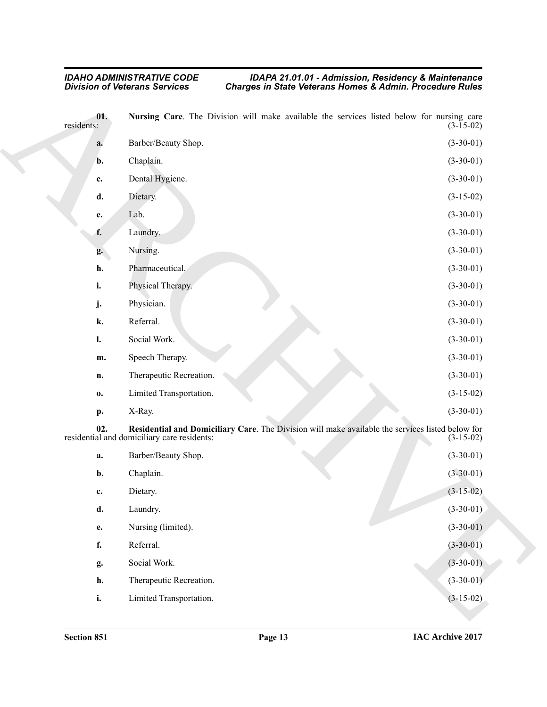#### <span id="page-12-1"></span><span id="page-12-0"></span>*IDAHO ADMINISTRATIVE CODE IDAPA 21.01.01 - Admission, Residency & Maintenance Division of Veterans Services Charges in State Veterans Homes & Admin. Procedure Rules*

|                   | <b>Division of Veterans Services</b>        | Charges in State Veterans Homes & Admin. Procedure Rules                                                        |
|-------------------|---------------------------------------------|-----------------------------------------------------------------------------------------------------------------|
| 01.<br>residents: |                                             | Nursing Care. The Division will make available the services listed below for nursing care<br>$(3-15-02)$        |
| a.                | Barber/Beauty Shop.                         | $(3-30-01)$                                                                                                     |
| b.                | Chaplain.                                   | $(3-30-01)$                                                                                                     |
| c.                | Dental Hygiene.                             | $(3-30-01)$                                                                                                     |
| d.                | Dietary.                                    | $(3-15-02)$                                                                                                     |
| e.                | Lab.                                        | $(3-30-01)$                                                                                                     |
| f.                | Laundry.                                    | $(3-30-01)$                                                                                                     |
| g.                | Nursing.                                    | $(3-30-01)$                                                                                                     |
| h.                | Pharmaceutical.                             | $(3-30-01)$                                                                                                     |
| i.                | Physical Therapy.                           | $(3-30-01)$                                                                                                     |
| j.                | Physician.                                  | $(3-30-01)$                                                                                                     |
| k.                | Referral.                                   | $(3-30-01)$                                                                                                     |
| $\mathbf{l}$ .    | Social Work.                                | $(3-30-01)$                                                                                                     |
| m.                | Speech Therapy.                             | $(3-30-01)$                                                                                                     |
| n.                | Therapeutic Recreation.                     | $(3-30-01)$                                                                                                     |
| 0.                | Limited Transportation.                     | $(3-15-02)$                                                                                                     |
| p.                | X-Ray.                                      | $(3-30-01)$                                                                                                     |
| 02.               | residential and domiciliary care residents: | Residential and Domiciliary Care. The Division will make available the services listed below for<br>$(3-15-02)$ |
| a.                | Barber/Beauty Shop.                         | $(3-30-01)$                                                                                                     |
| b.                | Chaplain.                                   | $(3-30-01)$                                                                                                     |
| c.                | Dietary.                                    | $(3-15-02)$                                                                                                     |
| d.                | Laundry.                                    | $(3-30-01)$                                                                                                     |
| e.                | Nursing (limited).                          | $(3-30-01)$                                                                                                     |
| f.                | Referral.                                   | $(3-30-01)$                                                                                                     |
| g.                | Social Work.                                | $(3-30-01)$                                                                                                     |
| h.                | Therapeutic Recreation.                     | $(3-30-01)$                                                                                                     |
| i.                | Limited Transportation.                     | $(3-15-02)$                                                                                                     |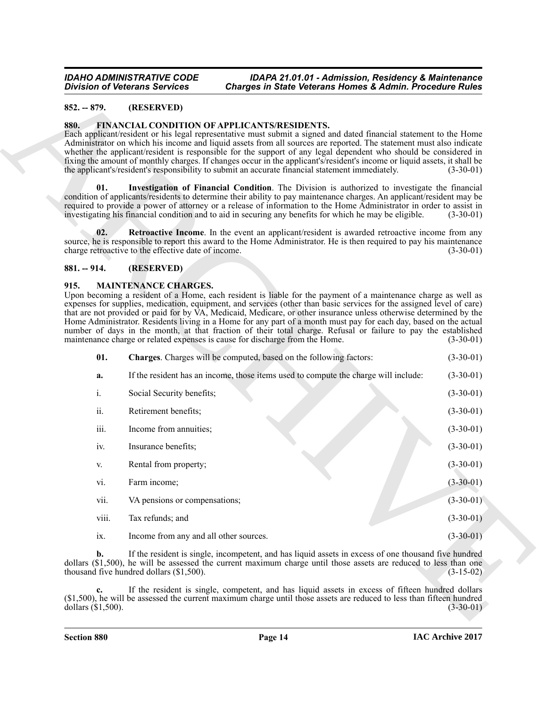#### <span id="page-13-0"></span>**852. -- 879. (RESERVED)**

#### <span id="page-13-5"></span><span id="page-13-4"></span><span id="page-13-1"></span>**880. FINANCIAL CONDITION OF APPLICANTS/RESIDENTS.**

#### <span id="page-13-6"></span><span id="page-13-2"></span>**881. -- 914. (RESERVED)**

#### <span id="page-13-8"></span><span id="page-13-7"></span><span id="page-13-3"></span>**915. MAINTENANCE CHARGES.**

|               |                | <b>Division of Veterans Services</b>                                                                                                                                                                                                                                                                                                                                                                                                                                                                                                                                                                                                                                                                                | <b>Charges in State Veterans Homes &amp; Admin. Procedure Rules</b> |
|---------------|----------------|---------------------------------------------------------------------------------------------------------------------------------------------------------------------------------------------------------------------------------------------------------------------------------------------------------------------------------------------------------------------------------------------------------------------------------------------------------------------------------------------------------------------------------------------------------------------------------------------------------------------------------------------------------------------------------------------------------------------|---------------------------------------------------------------------|
| $852. - 879.$ |                | (RESERVED)                                                                                                                                                                                                                                                                                                                                                                                                                                                                                                                                                                                                                                                                                                          |                                                                     |
| 880.          |                | FINANCIAL CONDITION OF APPLICANTS/RESIDENTS.<br>Each applicant/resident or his legal representative must submit a signed and dated financial statement to the Home<br>Administrator on which his income and liquid assets from all sources are reported. The statement must also indicate<br>whether the applicant/resident is responsible for the support of any legal dependent who should be considered in<br>fixing the amount of monthly charges. If changes occur in the applicant's/resident's income or liquid assets, it shall be<br>the applicant's/resident's responsibility to submit an accurate financial statement immediately.                                                                      | $(3-30-0)$                                                          |
|               | 01.            | Investigation of Financial Condition. The Division is authorized to investigate the financial<br>condition of applicants/residents to determine their ability to pay maintenance charges. An applicant/resident may be<br>required to provide a power of attorney or a release of information to the Home Administrator in order to assist in<br>investigating his financial condition and to aid in securing any benefits for which he may be eligible.                                                                                                                                                                                                                                                            | $(3-30-01)$                                                         |
|               | 02.            | Retroactive Income. In the event an applicant/resident is awarded retroactive income from any<br>source, he is responsible to report this award to the Home Administrator. He is then required to pay his maintenance<br>charge retroactive to the effective date of income.                                                                                                                                                                                                                                                                                                                                                                                                                                        | $(3-30-01)$                                                         |
| $881. - 914.$ |                | (RESERVED)                                                                                                                                                                                                                                                                                                                                                                                                                                                                                                                                                                                                                                                                                                          |                                                                     |
| 915.          |                | <b>MAINTENANCE CHARGES.</b><br>Upon becoming a resident of a Home, each resident is liable for the payment of a maintenance charge as well as<br>expenses for supplies, medication, equipment, and services (other than basic services for the assigned level of care)<br>that are not provided or paid for by VA, Medicaid, Medicare, or other insurance unless otherwise determined by the<br>Home Administrator. Residents living in a Home for any part of a month must pay for each day, based on the actual<br>number of days in the month, at that fraction of their total charge. Refusal or failure to pay the established<br>maintenance charge or related expenses is cause for discharge from the Home. | $(3-30-01)$                                                         |
|               | 01.            | Charges. Charges will be computed, based on the following factors:                                                                                                                                                                                                                                                                                                                                                                                                                                                                                                                                                                                                                                                  | $(3-30-01)$                                                         |
|               | a.             | If the resident has an income, those items used to compute the charge will include:                                                                                                                                                                                                                                                                                                                                                                                                                                                                                                                                                                                                                                 | $(3-30-01)$                                                         |
|               | i.             | Social Security benefits;                                                                                                                                                                                                                                                                                                                                                                                                                                                                                                                                                                                                                                                                                           | $(3-30-01)$                                                         |
|               | ii.            | Retirement benefits;                                                                                                                                                                                                                                                                                                                                                                                                                                                                                                                                                                                                                                                                                                | $(3-30-01)$                                                         |
|               | iii.           | Income from annuities;                                                                                                                                                                                                                                                                                                                                                                                                                                                                                                                                                                                                                                                                                              | $(3-30-01)$                                                         |
|               | iv.            | Insurance benefits;                                                                                                                                                                                                                                                                                                                                                                                                                                                                                                                                                                                                                                                                                                 | $(3-30-01)$                                                         |
|               | V.             | Rental from property;                                                                                                                                                                                                                                                                                                                                                                                                                                                                                                                                                                                                                                                                                               | $(3-30-01)$                                                         |
|               | Vl.            | Farm income;                                                                                                                                                                                                                                                                                                                                                                                                                                                                                                                                                                                                                                                                                                        | $(3-30-01)$                                                         |
|               | vii.           | VA pensions or compensations;                                                                                                                                                                                                                                                                                                                                                                                                                                                                                                                                                                                                                                                                                       | $(3-30-01)$                                                         |
|               | viii.          | Tax refunds; and                                                                                                                                                                                                                                                                                                                                                                                                                                                                                                                                                                                                                                                                                                    | $(3-30-01)$                                                         |
|               | ix.            | Income from any and all other sources.                                                                                                                                                                                                                                                                                                                                                                                                                                                                                                                                                                                                                                                                              | $(3-30-01)$                                                         |
|               | $\mathbf{b}$ . | If the resident is single, incompetent, and has liquid assets in excess of one thousand five hundred<br>dollars (\$1,500), he will be assessed the current maximum charge until those assets are reduced to less than one<br>thousand five hundred dollars (\$1,500).                                                                                                                                                                                                                                                                                                                                                                                                                                               | $(3-15-02)$                                                         |
|               | c.             | If the resident is single, competent, and has liquid assets in excess of fifteen hundred dollars<br>(\$1,500), he will be assessed the current maximum charge until those assets are reduced to less than fifteen hundred                                                                                                                                                                                                                                                                                                                                                                                                                                                                                           |                                                                     |

- vi. Farm income; (3-30-01) vii. VA pensions or compensations; (3-30-01) (3-30-01) viii. Tax refunds; and (3-30-01) (3-30-01)
- ix. Income from any and all other sources. (3-30-01)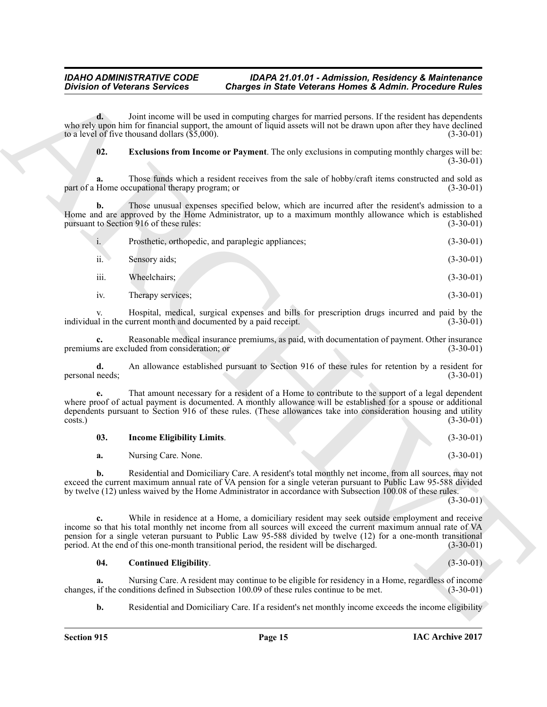<span id="page-14-1"></span>

|                       | <b>Division of Veterans Services</b>                    | <b>Charges in State Veterans Homes &amp; Admin. Procedure Rules</b>                                                                                                                                                                                                                                                                                                                                                            |             |
|-----------------------|---------------------------------------------------------|--------------------------------------------------------------------------------------------------------------------------------------------------------------------------------------------------------------------------------------------------------------------------------------------------------------------------------------------------------------------------------------------------------------------------------|-------------|
| d.                    | to a level of five thousand dollars $(\hat{\$5},000)$ . | Joint income will be used in computing charges for married persons. If the resident has dependents<br>who rely upon him for financial support, the amount of liquid assets will not be drawn upon after they have declined                                                                                                                                                                                                     | $(3-30-01)$ |
| 02.                   |                                                         | <b>Exclusions from Income or Payment</b> . The only exclusions in computing monthly charges will be:                                                                                                                                                                                                                                                                                                                           | $(3-30-01)$ |
| a.                    | part of a Home occupational therapy program; or         | Those funds which a resident receives from the sale of hobby/craft items constructed and sold as                                                                                                                                                                                                                                                                                                                               | $(3-30-01)$ |
| b.                    | pursuant to Section 916 of these rules:                 | Those unusual expenses specified below, which are incurred after the resident's admission to a<br>Home and are approved by the Home Administrator, up to a maximum monthly allowance which is established                                                                                                                                                                                                                      | $(3-30-01)$ |
| $\mathbf{i}$ .        |                                                         | Prosthetic, orthopedic, and paraplegic appliances;                                                                                                                                                                                                                                                                                                                                                                             | $(3-30-01)$ |
| ii.                   | Sensory aids;                                           |                                                                                                                                                                                                                                                                                                                                                                                                                                | $(3-30-01)$ |
| iii.                  | Wheelchairs;                                            |                                                                                                                                                                                                                                                                                                                                                                                                                                | $(3-30-01)$ |
| iv.                   | Therapy services;                                       |                                                                                                                                                                                                                                                                                                                                                                                                                                | $(3-30-01)$ |
|                       |                                                         | Hospital, medical, surgical expenses and bills for prescription drugs incurred and paid by the<br>individual in the current month and documented by a paid receipt.                                                                                                                                                                                                                                                            | $(3-30-01)$ |
| c.                    | premiums are excluded from consideration; or            | Reasonable medical insurance premiums, as paid, with documentation of payment. Other insurance                                                                                                                                                                                                                                                                                                                                 | $(3-30-01)$ |
| d.<br>personal needs; |                                                         | An allowance established pursuant to Section 916 of these rules for retention by a resident for                                                                                                                                                                                                                                                                                                                                | $(3-30-01)$ |
| costs.)               |                                                         | That amount necessary for a resident of a Home to contribute to the support of a legal dependent<br>where proof of actual payment is documented. A monthly allowance will be established for a spouse or additional<br>dependents pursuant to Section 916 of these rules. (These allowances take into consideration housing and utility                                                                                        | $(3-30-01)$ |
| 03.                   | <b>Income Eligibility Limits.</b>                       |                                                                                                                                                                                                                                                                                                                                                                                                                                | $(3-30-01)$ |
| a.                    | Nursing Care. None.                                     |                                                                                                                                                                                                                                                                                                                                                                                                                                | $(3-30-01)$ |
| b.                    |                                                         | Residential and Domiciliary Care. A resident's total monthly net income, from all sources, may not<br>exceed the current maximum annual rate of VA pension for a single veteran pursuant to Public Law 95-588 divided<br>by twelve (12) unless waived by the Home Administrator in accordance with Subsection 100.08 of these rules.                                                                                           | $(3-30-01)$ |
| c.                    |                                                         | While in residence at a Home, a domiciliary resident may seek outside employment and receive<br>income so that his total monthly net income from all sources will exceed the current maximum annual rate of VA<br>pension for a single veteran pursuant to Public Law 95-588 divided by twelve (12) for a one-month transitional<br>period. At the end of this one-month transitional period, the resident will be discharged. | $(3-30-01)$ |
| 04.                   | <b>Continued Eligibility.</b>                           |                                                                                                                                                                                                                                                                                                                                                                                                                                | $(3-30-01)$ |
| a.                    |                                                         | Nursing Care. A resident may continue to be eligible for residency in a Home, regardless of income<br>changes, if the conditions defined in Subsection 100.09 of these rules continue to be met.                                                                                                                                                                                                                               | $(3-30-01)$ |
| b.                    |                                                         | Residential and Domiciliary Care. If a resident's net monthly income exceeds the income eligibility                                                                                                                                                                                                                                                                                                                            |             |

<span id="page-14-2"></span>

| 03. | <b>Income Eligibility Limits.</b> | $(3-30-01)$ |
|-----|-----------------------------------|-------------|
|     | Nursing Care. None.               | $(3-30-01)$ |

#### <span id="page-14-0"></span>**04. Continued Eligibility**. (3-30-01)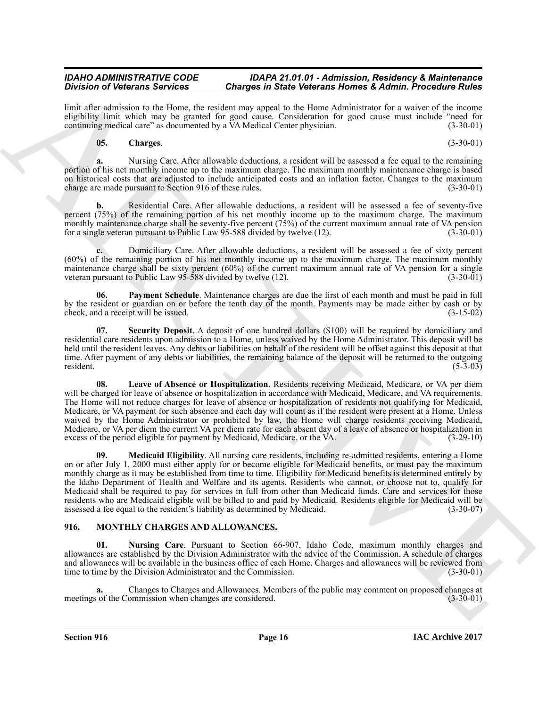limit after admission to the Home, the resident may appeal to the Home Administrator for a waiver of the income eligibility limit which may be granted for good cause. Consideration for good cause must include "need for continuing medical care" as documented by a VA Medical Center physician. (3-30-01) continuing medical care" as documented by a VA Medical Center physician.

#### <span id="page-15-1"></span>**05. Charges**. (3-30-01)

**a.** Nursing Care. After allowable deductions, a resident will be assessed a fee equal to the remaining portion of his net monthly income up to the maximum charge. The maximum monthly maintenance charge is based on historical costs that are adjusted to include anticipated costs and an inflation factor. Changes to the maximum charge are made pursuant to Section 916 of these rules. (3-30-01)

**b.** Residential Care. After allowable deductions, a resident will be assessed a fee of seventy-five percent (75%) of the remaining portion of his net monthly income up to the maximum charge. The maximum monthly maintenance charge shall be seventy-five percent (75%) of the current maximum annual rate of VA pension for a single veteran pursuant to Public Law 95-588 divided by twelve (12). (3-30-01)

**c.** Domiciliary Care. After allowable deductions, a resident will be assessed a fee of sixty percent (60%) of the remaining portion of his net monthly income up to the maximum charge. The maximum monthly maintenance charge shall be sixty percent (60%) of the current maximum annual rate of VA pension for a single veteran pursuant to Public Law 95-588 divided by twelve (12). (3-30-01)

<span id="page-15-4"></span>**06. Payment Schedule**. Maintenance charges are due the first of each month and must be paid in full by the resident or guardian on or before the tenth day of the month. Payments may be made either by cash or by check, and a receipt will be issued. (3-15-02)

<span id="page-15-5"></span>**07. Security Deposit**. A deposit of one hundred dollars (\$100) will be required by domiciliary and residential care residents upon admission to a Home, unless waived by the Home Administrator. This deposit will be held until the resident leaves. Any debts or liabilities on behalf of the resident will be offset against this deposit at that time. After payment of any debts or liabilities, the remaining balance of the deposit will be returned to the outgoing resident. (5-3-03) resident. (5-3-03)

<span id="page-15-3"></span><span id="page-15-2"></span>**08. Leave of Absence or Hospitalization**. Residents receiving Medicaid, Medicare, or VA per diem will be charged for leave of absence or hospitalization in accordance with Medicaid, Medicare, and VA requirements. The Home will not reduce charges for leave of absence or hospitalization of residents not qualifying for Medicaid, Medicare, or VA payment for such absence and each day will count as if the resident were present at a Home. Unless waived by the Home Administrator or prohibited by law, the Home will charge residents receiving Medicaid, Medicare, or VA per diem the current VA per diem rate for each absent day of a leave of absence or hospitalization in excess of the period eligible for payment by Medicaid, Medicare, or the VA.  $(3-29-10)$ excess of the period eligible for payment by Medicaid, Medicare, or the VA.

Division of Velocions Served in Conservation Conservation Served Monte Research and Archives Conservation Served Monte Research (Served Monte Research 2013)<br>
And the state and the state and the state of the state of the s **09. Medicaid Eligibility**. All nursing care residents, including re-admitted residents, entering a Home on or after July 1, 2000 must either apply for or become eligible for Medicaid benefits, or must pay the maximum monthly charge as it may be established from time to time. Eligibility for Medicaid benefits is determined entirely by the Idaho Department of Health and Welfare and its agents. Residents who cannot, or choose not to, qualify for Medicaid shall be required to pay for services in full from other than Medicaid funds. Care and services for those residents who are Medicaid eligible will be billed to and paid by Medicaid. Residents eligible for Medicaid will be assessed a fee equal to the resident's liability as determined by Medicaid. (3-30-07) assessed a fee equal to the resident's liability as determined by Medicaid.

#### <span id="page-15-6"></span><span id="page-15-0"></span>**916. MONTHLY CHARGES AND ALLOWANCES.**

<span id="page-15-7"></span>**01. Nursing Care**. Pursuant to Section 66-907, Idaho Code, maximum monthly charges and allowances are established by the Division Administrator with the advice of the Commission. A schedule of charges and allowances will be available in the business office of each Home. Charges and allowances will be reviewed from time to time by the Division Administrator and the Commission. (3-30-01) time to time by the Division Administrator and the Commission.

**a.** Changes to Charges and Allowances. Members of the public may comment on proposed changes at of the Commission when changes are considered. (3-30-01) meetings of the Commission when changes are considered.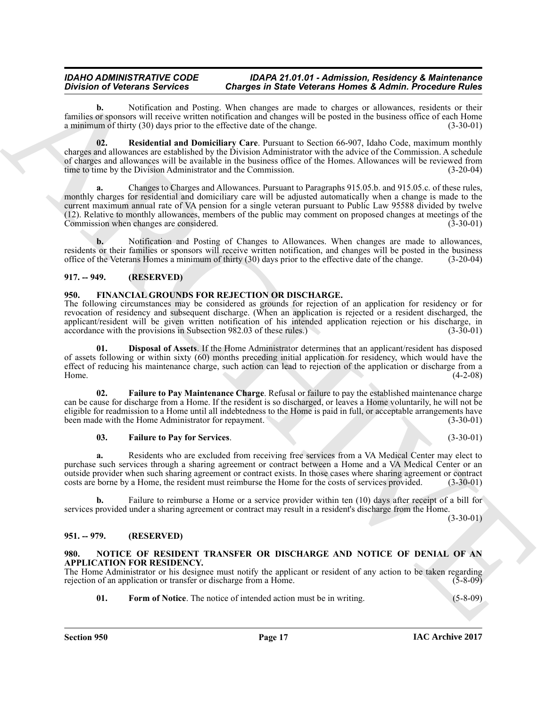**b.** Notification and Posting. When changes are made to charges or allowances, residents or their families or sponsors will receive written notification and changes will be posted in the business office of each Home a minimum of thirty (30) days prior to the effective date of the change. (3-30-01) a minimum of thirty  $(30)$  days prior to the effective date of the change.

<span id="page-16-8"></span>**02. Residential and Domiciliary Care**. Pursuant to Section 66-907, Idaho Code, maximum monthly charges and allowances are established by the Division Administrator with the advice of the Commission. A schedule of charges and allowances will be available in the business office of the Homes. Allowances will be reviewed from time to time by the Division Administrator and the Commission. (3-20-04)

Division of Determines Secretics Control is the bitter of the rest of Administration of the College Control in the Control in the College Control in the College Control in the College Control in the College Control in the **a.** Changes to Charges and Allowances. Pursuant to Paragraphs 915.05.b. and 915.05.c. of these rules, monthly charges for residential and domiciliary care will be adjusted automatically when a change is made to the current maximum annual rate of VA pension for a single veteran pursuant to Public Law 95588 divided by twelve (12). Relative to monthly allowances, members of the public may comment on proposed changes at meetings of the Commission when changes are considered.

**b.** Notification and Posting of Changes to Allowances. When changes are made to allowances, residents or their families or sponsors will receive written notification, and changes will be posted in the business office of the Veterans Homes a minimum of thirty (30) days prior to the effective date of the change. (3 office of the Veterans Homes a minimum of thirty  $(30)$  days prior to the effective date of the change.

#### <span id="page-16-0"></span>**917. -- 949. (RESERVED)**

#### <span id="page-16-4"></span><span id="page-16-1"></span>**950. FINANCIAL GROUNDS FOR REJECTION OR DISCHARGE.**

The following circumstances may be considered as grounds for rejection of an application for residency or for revocation of residency and subsequent discharge. (When an application is rejected or a resident discharged, the applicant/resident will be given written notification of his intended application rejection or his discharge, in accordance with the provisions in Subsection 982.03 of these rules.)  $(3-30-01)$ accordance with the provisions in Subsection 982.03 of these rules.)

<span id="page-16-5"></span>**01. Disposal of Assets**. If the Home Administrator determines that an applicant/resident has disposed of assets following or within sixty (60) months preceding initial application for residency, which would have the effect of reducing his maintenance charge, such action can lead to rejection of the application or discharge from a<br>(4-2-08) Home.  $(4-2-08)$ 

**02. Failure to Pay Maintenance Charge**. Refusal or failure to pay the established maintenance charge can be cause for discharge from a Home. If the resident is so discharged, or leaves a Home voluntarily, he will not be eligible for readmission to a Home until all indebtedness to the Home is paid in full, or acceptable arrangements have<br>(3-30-01) (3-30-01) been made with the Home Administrator for repayment.

#### <span id="page-16-7"></span><span id="page-16-6"></span>**03. Failure to Pay for Services**. (3-30-01)

**a.** Residents who are excluded from receiving free services from a VA Medical Center may elect to purchase such services through a sharing agreement or contract between a Home and a VA Medical Center or an outside provider when such sharing agreement or contract exists. In those cases where sharing agreement or contract costs are borne by a Home, the resident must reimburse the Home for the costs of services provided. (3-30-01)

**b.** Failure to reimburse a Home or a service provider within ten (10) days after receipt of a bill for services provided under a sharing agreement or contract may result in a resident's discharge from the Home.

 $(3-30-01)$ 

#### <span id="page-16-2"></span>**951. -- 979. (RESERVED)**

#### <span id="page-16-9"></span><span id="page-16-3"></span>**980. NOTICE OF RESIDENT TRANSFER OR DISCHARGE AND NOTICE OF DENIAL OF AN APPLICATION FOR RESIDENCY.**

The Home Administrator or his designee must notify the applicant or resident of any action to be taken regarding rejection of an application or transfer or discharge from a Home. (5-8-09)

<span id="page-16-10"></span>**01.** Form of Notice. The notice of intended action must be in writing. (5-8-09)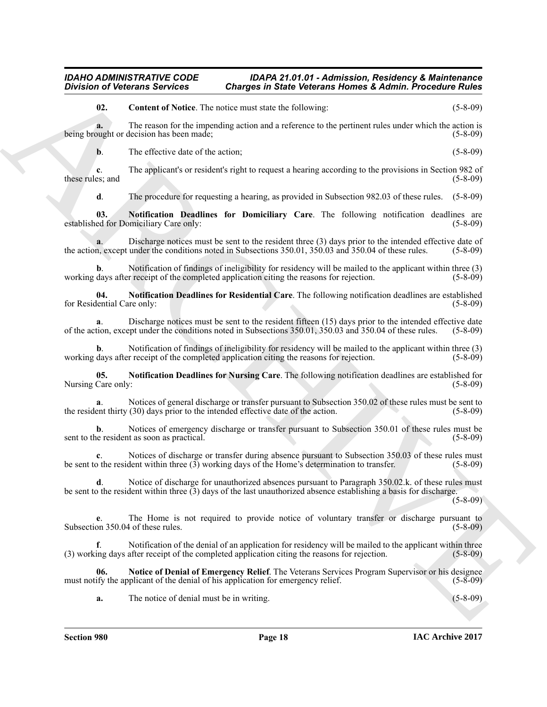<span id="page-17-0"></span>**02. Content of Notice**. The notice must state the following: (5-8-09)

**a.** The reason for the impending action and a reference to the pertinent rules under which the action is ought or decision has been made: (5-8-09) being brought or decision has been made;

**b**. The effective date of the action; (5-8-09)

Division of Velocious Services Charges in State Velocious Addinite Procedure Rides<br>
(a) Constant of Notices Libraria and sink to kinematic Services (a) Constant of Notices (a) Constant Constant Constant Constant Constant **c**. The applicant's or resident's right to request a hearing according to the provisions in Section 982 of these rules; and (5-8-09) (5-8-09)

<span id="page-17-2"></span>**d**. The procedure for requesting a hearing, as provided in Subsection 982.03 of these rules. (5-8-09)

**03. Notification Deadlines for Domiciliary Care**. The following notification deadlines are ed for Domiciliary Care only: (5-8-09) established for Domiciliary Care only:

**a**. Discharge notices must be sent to the resident three (3) days prior to the intended effective date of n, except under the conditions noted in Subsections 350.01, 350.03 and 350.04 of these rules. (5-8-09) the action, except under the conditions noted in Subsections  $350.01$ ,  $350.03$  and  $350.04$  of these rules.

**b**. Notification of findings of ineligibility for residency will be mailed to the applicant within three (3) receipt of the completed application citing the reasons for rejection. working days after receipt of the completed application citing the reasons for rejection.

<span id="page-17-4"></span>**04. Notification Deadlines for Residential Care**. The following notification deadlines are established for Residential Care only:

**a**. Discharge notices must be sent to the resident fifteen (15) days prior to the intended effective date tion, except under the conditions noted in Subsections 350.01, 350.03 and 350.04 of these rules. (5-8-09) of the action, except under the conditions noted in Subsections 350.01, 350.03 and 350.04 of these rules.

**b.** Notification of findings of ineligibility for residency will be mailed to the applicant within three (3) r receipt of the completed application citing the reasons for rejection. (5-8-09) working days after receipt of the completed application citing the reasons for rejection.

<span id="page-17-3"></span>**05.** Notification Deadlines for Nursing Care. The following notification deadlines are established for Care only: (5-8-09) Nursing Care only:

Notices of general discharge or transfer pursuant to Subsection 350.02 of these rules must be sent to (30) days prior to the intended effective date of the action. (5-8-09) the resident thirty  $(30)$  days prior to the intended effective date of the action.

**b**. Notices of emergency discharge or transfer pursuant to Subsection 350.01 of these rules must be e resident as soon as practical. (5-8-09) sent to the resident as soon as practical.

**c**. Notices of discharge or transfer during absence pursuant to Subsection 350.03 of these rules must b the resident within three (3) working days of the Home's determination to transfer. (5-8-09) be sent to the resident within three  $(3)$  working days of the Home's determination to transfer.

**d**. Notice of discharge for unauthorized absences pursuant to Paragraph 350.02.k. of these rules must be sent to the resident within three (3) days of the last unauthorized absence establishing a basis for discharge.

(5-8-09)

**e**. The Home is not required to provide notice of voluntary transfer or discharge pursuant to Subsection 350.04 of these rules. (5-8-09)

**f**. Notification of the denial of an application for residency will be mailed to the applicant within three ing days after receipt of the completed application citing the reasons for rejection. (5-8-09) (3) working days after receipt of the completed application citing the reasons for rejection.

**06. Notice of Denial of Emergency Relief**. The Veterans Services Program Supervisor or his designee must notify the applicant of the denial of his application for emergency relief. (5-8-09)

<span id="page-17-1"></span>**a.** The notice of denial must be in writing. (5-8-09)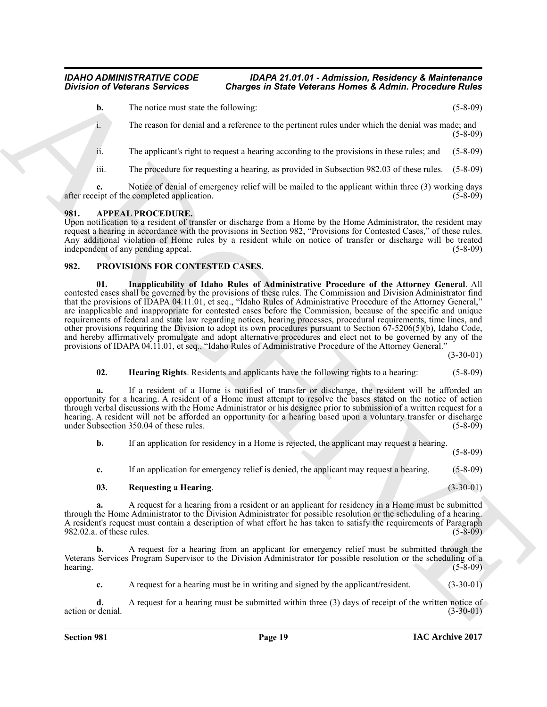**b.** The notice must state the following: (5-8-09)

i. The reason for denial and a reference to the pertinent rules under which the denial was made; and (5-8-09)

ii. The applicant's right to request a hearing according to the provisions in these rules; and (5-8-09)

iii. The procedure for requesting a hearing, as provided in Subsection 982.03 of these rules. (5-8-09)

**c.** Notice of denial of emergency relief will be mailed to the applicant within three (3) working days eint of the completed application. (5-8-09) after receipt of the completed application.

#### <span id="page-18-2"></span><span id="page-18-0"></span>**981. APPEAL PROCEDURE.**

Upon notification to a resident of transfer or discharge from a Home by the Home Administrator, the resident may request a hearing in accordance with the provisions in Section 982, "Provisions for Contested Cases," of these rules. Any additional violation of Home rules by a resident while on notice of transfer or discharge will be treated independent of any pending appeal. (5-8-09) independent of any pending appeal.

#### <span id="page-18-5"></span><span id="page-18-3"></span><span id="page-18-1"></span>**982. PROVISIONS FOR CONTESTED CASES.**

**Division of Veterans Services Charges in State Veterans Homes & Admin. Proceedure Rules<br>
1.** The music for details and a therma on the pertuant rules under the basis of state and<br>
1. The music for detail and a reference **01. Inapplicability of Idaho Rules of Administrative Procedure of the Attorney General**. All contested cases shall be governed by the provisions of these rules. The Commission and Division Administrator find that the provisions of IDAPA 04.11.01, et seq., "Idaho Rules of Administrative Procedure of the Attorney General," are inapplicable and inappropriate for contested cases before the Commission, because of the specific and unique requirements of federal and state law regarding notices, hearing processes, procedural requirements, time lines, and other provisions requiring the Division to adopt its own procedures pursuant to Section 67-5206(5)(b), Idaho Code, and hereby affirmatively promulgate and adopt alternative procedures and elect not to be governed by any of the provisions of IDAPA 04.11.01, et seq., "Idaho Rules of Administrative Procedure of the Attorney General."

 $(3-30-01)$ 

#### <span id="page-18-4"></span>**02. Hearing Rights**. Residents and applicants have the following rights to a hearing: (5-8-09)

**a.** If a resident of a Home is notified of transfer or discharge, the resident will be afforded an opportunity for a hearing. A resident of a Home must attempt to resolve the bases stated on the notice of action through verbal discussions with the Home Administrator or his designee prior to submission of a written request for a hearing. A resident will not be afforded an opportunity for a hearing based upon a voluntary transfer or discharge under Subsection 350.04 of these rules. (5-8-09)

**b.** If an application for residency in a Home is rejected, the applicant may request a hearing.

(5-8-09)

**c.** If an application for emergency relief is denied, the applicant may request a hearing. (5-8-09)

#### <span id="page-18-6"></span>**03. Requesting a Hearing**. (3-30-01)

**a.** A request for a hearing from a resident or an applicant for residency in a Home must be submitted through the Home Administrator to the Division Administrator for possible resolution or the scheduling of a hearing. A resident's request must contain a description of what effort he has taken to satisfy the requirements of Paragraph 982.02.a. of these rules. (5-8-09)

**b.** A request for a hearing from an applicant for emergency relief must be submitted through the Veterans Services Program Supervisor to the Division Administrator for possible resolution or the scheduling of a  $hearing.$  (5-8-09)

**c.** A request for a hearing must be in writing and signed by the applicant/resident. (3-30-01)

**d.** A request for a hearing must be submitted within three (3) days of receipt of the written notice of denial. (3-30-01) action or denial.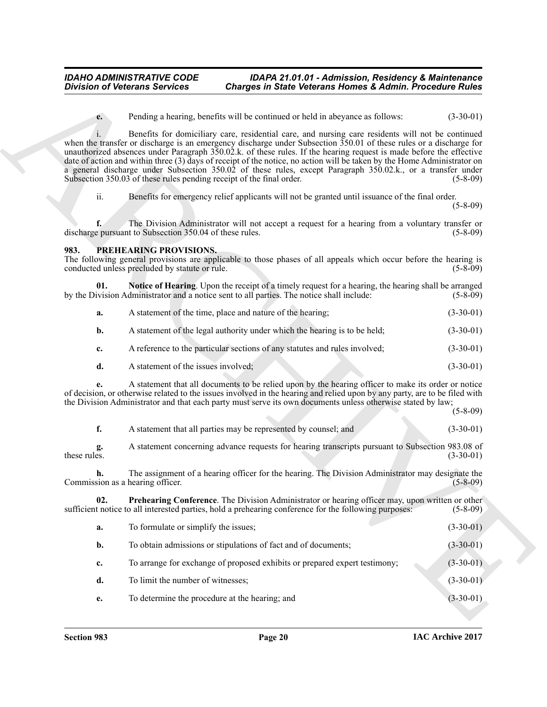#### <span id="page-19-1"></span><span id="page-19-0"></span>**983. PREHEARING PROVISIONS.**

<span id="page-19-2"></span>

| а. | A statement of the time, place and nature of the hearing;                 | $(3-30-01)$ |
|----|---------------------------------------------------------------------------|-------------|
|    | A statement of the legal authority under which the hearing is to be held; | $(3-30-01)$ |

| $(3-30-01)$<br>A statement of the issues involved; |
|----------------------------------------------------|
|----------------------------------------------------|

<span id="page-19-3"></span>

|              | A statement that all parties may be represented by counsel; and                                  | $(3-30-01)$ |
|--------------|--------------------------------------------------------------------------------------------------|-------------|
| these rules. | A statement concerning advance requests for hearing transcripts pursuant to Subsection 983.08 of | $(3-30-01)$ |

|                | <b>Charges in State Veterans Homes &amp; Admin. Procedure Rules</b>                                                                                                                                                                                                                                                                                                                                                                                                                                                                                                                      | <b>Division of Veterans Services</b>                                                   |
|----------------|------------------------------------------------------------------------------------------------------------------------------------------------------------------------------------------------------------------------------------------------------------------------------------------------------------------------------------------------------------------------------------------------------------------------------------------------------------------------------------------------------------------------------------------------------------------------------------------|----------------------------------------------------------------------------------------|
| $(3-30-01)$    | Pending a hearing, benefits will be continued or held in abeyance as follows:                                                                                                                                                                                                                                                                                                                                                                                                                                                                                                            | e.                                                                                     |
| $(5-8-09)$     | Benefits for domiciliary care, residential care, and nursing care residents will not be continued<br>when the transfer or discharge is an emergency discharge under Subsection 350.01 of these rules or a discharge for<br>unauthorized absences under Paragraph 350.02.k. of these rules. If the hearing request is made before the effective<br>date of action and within three (3) days of receipt of the notice, no action will be taken by the Home Administrator on<br>a general discharge under Subsection 350.02 of these rules, except Paragraph 350.02.k., or a transfer under | $\mathbf{1}$ .<br>Subsection 350.03 of these rules pending receipt of the final order. |
| $(5 - 8 - 09)$ | Benefits for emergency relief applicants will not be granted until issuance of the final order.                                                                                                                                                                                                                                                                                                                                                                                                                                                                                          | ii.                                                                                    |
| $(5-8-09)$     | The Division Administrator will not accept a request for a hearing from a voluntary transfer or                                                                                                                                                                                                                                                                                                                                                                                                                                                                                          | discharge pursuant to Subsection 350.04 of these rules.                                |
| $(5-8-09)$     | The following general provisions are applicable to those phases of all appeals which occur before the hearing is                                                                                                                                                                                                                                                                                                                                                                                                                                                                         | PREHEARING PROVISIONS.<br>983.<br>conducted unless precluded by statute or rule.       |
| $(5-8-09)$     | Notice of Hearing. Upon the receipt of a timely request for a hearing, the hearing shall be arranged<br>by the Division Administrator and a notice sent to all parties. The notice shall include:                                                                                                                                                                                                                                                                                                                                                                                        | 01.                                                                                    |
| $(3-30-01)$    | A statement of the time, place and nature of the hearing;                                                                                                                                                                                                                                                                                                                                                                                                                                                                                                                                | a.                                                                                     |
| $(3-30-01)$    | A statement of the legal authority under which the hearing is to be held;                                                                                                                                                                                                                                                                                                                                                                                                                                                                                                                | b.                                                                                     |
| $(3-30-01)$    | A reference to the particular sections of any statutes and rules involved;                                                                                                                                                                                                                                                                                                                                                                                                                                                                                                               | c.                                                                                     |
| $(3-30-01)$    |                                                                                                                                                                                                                                                                                                                                                                                                                                                                                                                                                                                          | d.<br>A statement of the issues involved;                                              |
| $(5 - 8 - 09)$ | A statement that all documents to be relied upon by the hearing officer to make its order or notice<br>of decision, or otherwise related to the issues involved in the hearing and relied upon by any party, are to be filed with<br>the Division Administrator and that each party must serve its own documents unless otherwise stated by law;                                                                                                                                                                                                                                         | е.                                                                                     |
| $(3-30-01)$    | A statement that all parties may be represented by counsel; and                                                                                                                                                                                                                                                                                                                                                                                                                                                                                                                          | f.                                                                                     |
| $(3-30-01)$    | A statement concerning advance requests for hearing transcripts pursuant to Subsection 983.08 of                                                                                                                                                                                                                                                                                                                                                                                                                                                                                         | g.<br>these rules.                                                                     |
| $(5 - 8 - 09)$ | The assignment of a hearing officer for the hearing. The Division Administrator may designate the                                                                                                                                                                                                                                                                                                                                                                                                                                                                                        | h.<br>Commission as a hearing officer.                                                 |
| $(5-8-09)$     | Prehearing Conference. The Division Administrator or hearing officer may, upon written or other<br>sufficient notice to all interested parties, hold a prehearing conference for the following purposes:                                                                                                                                                                                                                                                                                                                                                                                 | 02.                                                                                    |
| $(3-30-01)$    |                                                                                                                                                                                                                                                                                                                                                                                                                                                                                                                                                                                          | To formulate or simplify the issues;<br>a.                                             |
| $(3-30-01)$    | To obtain admissions or stipulations of fact and of documents;                                                                                                                                                                                                                                                                                                                                                                                                                                                                                                                           | b.                                                                                     |
| $(3-30-01)$    | To arrange for exchange of proposed exhibits or prepared expert testimony;                                                                                                                                                                                                                                                                                                                                                                                                                                                                                                               | c.                                                                                     |
| $(3-30-01)$    |                                                                                                                                                                                                                                                                                                                                                                                                                                                                                                                                                                                          | To limit the number of witnesses;<br>d.                                                |
|                | To determine the procedure at the hearing; and                                                                                                                                                                                                                                                                                                                                                                                                                                                                                                                                           |                                                                                        |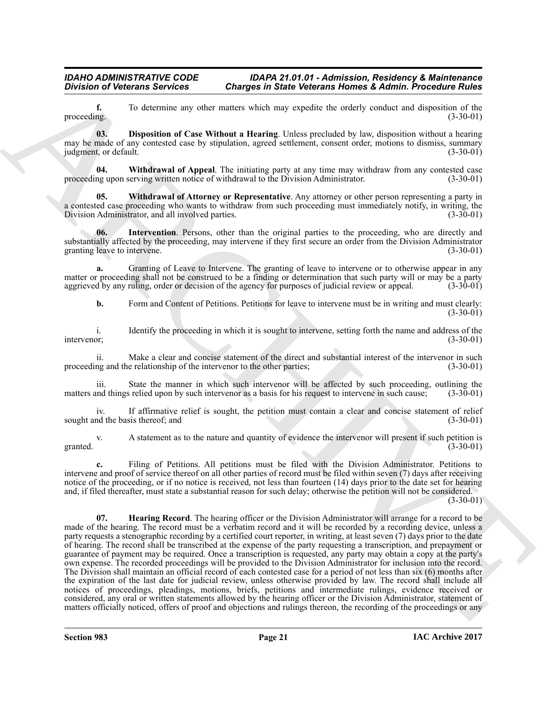**f.** To determine any other matters which may expedite the orderly conduct and disposition of the proceeding. (3-30-01)  $\beta$  proceeding. (3-30-01)

<span id="page-20-0"></span>**03. Disposition of Case Without a Hearing**. Unless precluded by law, disposition without a hearing may be made of any contested case by stipulation, agreed settlement, consent order, motions to dismiss, summary<br>judgment, or default. (3-30-01) judgment, or default.

<span id="page-20-3"></span>**04.** Withdrawal of Appeal. The initiating party at any time may withdraw from any contested case ng upon serving written notice of withdrawal to the Division Administrator. (3-30-01) proceeding upon serving written notice of withdrawal to the Division Administrator.

<span id="page-20-4"></span>**05. Withdrawal of Attorney or Representative**. Any attorney or other person representing a party in a contested case proceeding who wants to withdraw from such proceeding must immediately notify, in writing, the<br>Division Administrator, and all involved parties. (3-30-01) Division Administrator, and all involved parties.

<span id="page-20-2"></span>**06.** Intervention. Persons, other than the original parties to the proceeding, who are directly and substantially affected by the proceeding, may intervene if they first secure an order from the Division Administrator granting leave to intervene. (3-30-01) granting leave to intervene.

**a.** Granting of Leave to Intervene. The granting of leave to intervene or to otherwise appear in any matter or proceeding shall not be construed to be a finding or determination that such party will or may be a party aggrieved by any ruling, order or decision of the agency for purposes of judicial review or appeal. (3-30aggrieved by any ruling, order or decision of the agency for purposes of judicial review or appeal.

**b.** Form and Content of Petitions. Petitions for leave to intervene must be in writing and must clearly: (3-30-01)

i. Identify the proceeding in which it is sought to intervene, setting forth the name and address of the intervenor; (3-30-01) intervenor; (3-30-01)

ii. Make a clear and concise statement of the direct and substantial interest of the intervenor in such ng and the relationship of the intervenor to the other parties; (3-30-01) proceeding and the relationship of the intervenor to the other parties;

iii. State the manner in which such intervenor will be affected by such proceeding, outlining the md things relied upon by such intervenor as a basis for his request to intervene in such cause; (3-30-01) matters and things relied upon by such intervenor as a basis for his request to intervene in such cause;

iv. If affirmative relief is sought, the petition must contain a clear and concise statement of relief ind the basis thereof; and (3-30-01) sought and the basis thereof; and

v. A statement as to the nature and quantity of evidence the intervenor will present if such petition is granted.  $(3-30-01)$ 

<span id="page-20-1"></span>**c.** Filing of Petitions. All petitions must be filed with the Division Administrator. Petitions to intervene and proof of service thereof on all other parties of record must be filed within seven (7) days after receiving notice of the proceeding, or if no notice is received, not less than fourteen (14) days prior to the date set for hearing and, if filed thereafter, must state a substantial reason for such delay; otherwise the petition will not be considered.

 $(3-30-01)$ 

**Division of Veterans Services Conserves in State Veterans Homes & Admits Proceeding Rules<br>
procedure. The determination and the Wilson and the material base of the properties of the state of the Minimum and the Minimum a 07. Hearing Record**. The hearing officer or the Division Administrator will arrange for a record to be made of the hearing. The record must be a verbatim record and it will be recorded by a recording device, unless a party requests a stenographic recording by a certified court reporter, in writing, at least seven (7) days prior to the date of hearing. The record shall be transcribed at the expense of the party requesting a transcription, and prepayment or guarantee of payment may be required. Once a transcription is requested, any party may obtain a copy at the party's own expense. The recorded proceedings will be provided to the Division Administrator for inclusion into the record. The Division shall maintain an official record of each contested case for a period of not less than six (6) months after the expiration of the last date for judicial review, unless otherwise provided by law. The record shall include all notices of proceedings, pleadings, motions, briefs, petitions and intermediate rulings, evidence received or considered, any oral or written statements allowed by the hearing officer or the Division Administrator, statement of matters officially noticed, offers of proof and objections and rulings thereon, the recording of the proceedings or any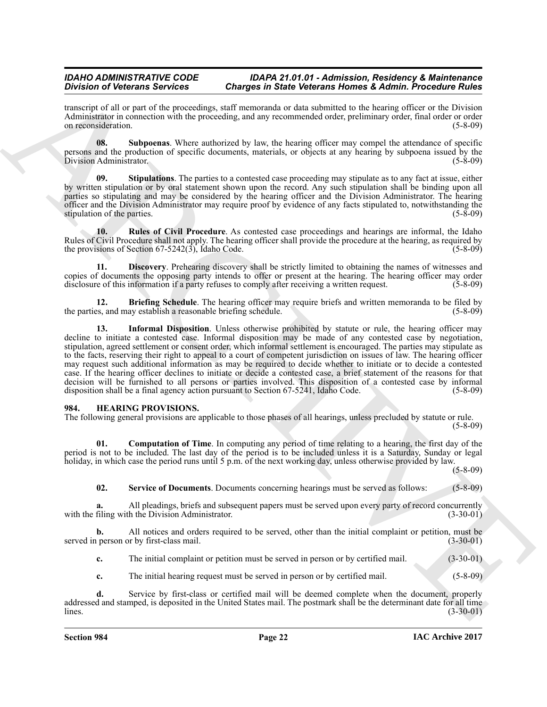transcript of all or part of the proceedings, staff memoranda or data submitted to the hearing officer or the Division Administrator in connection with the proceeding, and any recommended order, preliminary order, final order or order on reconsideration. (5-8-09) on reconsideration.

<span id="page-21-9"></span>**08. Subpoenas**. Where authorized by law, the hearing officer may compel the attendance of specific persons and the production of specific documents, materials, or objects at any hearing by subpoena issued by the<br>Division Administrator Division Administrator.

<span id="page-21-8"></span>**09. Stipulations**. The parties to a contested case proceeding may stipulate as to any fact at issue, either by written stipulation or by oral statement shown upon the record. Any such stipulation shall be binding upon all parties so stipulating and may be considered by the hearing officer and the Division Administrator. The hearing officer and the Division Administrator may require proof by evidence of any facts stipulated to, notwithstanding the stipulation of the parties.  $(5-8-09)$ 

<span id="page-21-7"></span>**10. Rules of Civil Procedure**. As contested case proceedings and hearings are informal, the Idaho Rules of Civil Procedure shall not apply. The hearing officer shall provide the procedure at the hearing, as required by the provisions of Section 67-5242(3), Idaho Code. (5-8-09) the provisions of Section  $67-5242(\overline{3})$ , Idaho Code.

<span id="page-21-5"></span>**11. Discovery**. Prehearing discovery shall be strictly limited to obtaining the names of witnesses and copies of documents the opposing party intends to offer or present at the hearing. The hearing officer may order disclosure of this information if a party refuses to comply after receiving a written request. (5-8-09) disclosure of this information if a party refuses to comply after receiving a written request.

<span id="page-21-6"></span><span id="page-21-4"></span>**12. Briefing Schedule**. The hearing officer may require briefs and written memoranda to be filed by s. and may establish a reasonable briefing schedule. (5-8-09) the parties, and may establish a reasonable briefing schedule.

Division of Vectorians Services Contents Contents in the contents of Services Contents (Expeditional Contents Contents (Expeditional Contents Contents (Expeditional Contents Contents (Expeditional Contents Contents (Exped 13. **Informal Disposition**. Unless otherwise prohibited by statute or rule, the hearing officer may decline to initiate a contested case. Informal disposition may be made of any contested case by negotiation, stipulation, agreed settlement or consent order, which informal settlement is encouraged. The parties may stipulate as to the facts, reserving their right to appeal to a court of competent jurisdiction on issues of law. The hearing officer may request such additional information as may be required to decide whether to initiate or to decide a contested case. If the hearing officer declines to initiate or decide a contested case, a brief statement of the reasons for that decision will be furnished to all persons or parties involved. This disposition of a contested case by informal disposition shall be a final agency action pursuant to Section 67-5241, Idaho Code. (5-8-09)

#### <span id="page-21-1"></span><span id="page-21-0"></span>**984. HEARING PROVISIONS.**

The following general provisions are applicable to those phases of all hearings, unless precluded by statute or rule. (5-8-09)

**01. Computation of Time**. In computing any period of time relating to a hearing, the first day of the period is not to be included. The last day of the period is to be included unless it is a Saturday, Sunday or legal holiday, in which case the period runs until 5 p.m. of the next working day, unless otherwise provided by law.

(5-8-09)

<span id="page-21-3"></span><span id="page-21-2"></span>**02.** Service of Documents. Documents concerning hearings must be served as follows: (5-8-09)

**a.** All pleadings, briefs and subsequent papers must be served upon every party of record concurrently filing with the Division Administrator. (3-30-01) with the filing with the Division Administrator.

**b.** All notices and orders required to be served, other than the initial complaint or petition, must be person or by first-class mail.  $(3-30-01)$ served in person or by first-class mail.

**c.** The initial complaint or petition must be served in person or by certified mail. (3-30-01)

**c.** The initial hearing request must be served in person or by certified mail. (5-8-09)

**d.** Service by first-class or certified mail will be deemed complete when the document, properly addressed and stamped, is deposited in the United States mail. The postmark shall be the determinant date for all time  $\mu$  (3-30-01)  $(3-30-01)$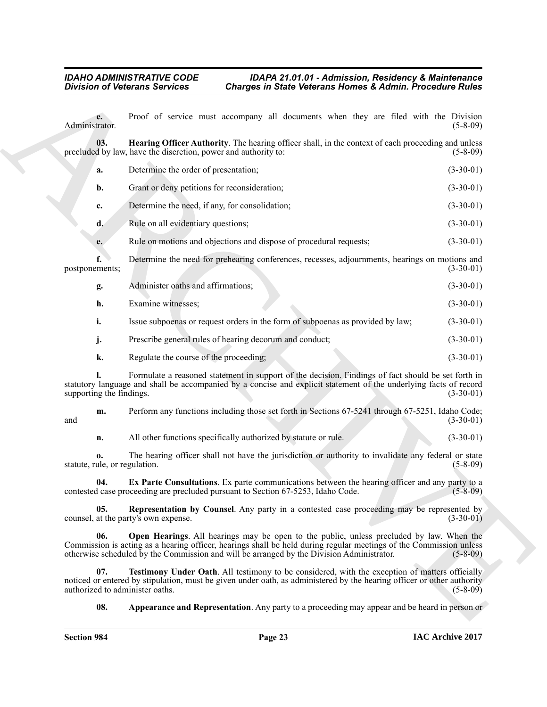<span id="page-22-5"></span><span id="page-22-4"></span><span id="page-22-3"></span><span id="page-22-2"></span><span id="page-22-1"></span><span id="page-22-0"></span>

|  | Hearing Officer Authority. The hearing officer shall, in the context of each proceeding and unless |          |
|--|----------------------------------------------------------------------------------------------------|----------|
|  | precluded by law, have the discretion, power and authority to:                                     | (5-8-09) |
|  |                                                                                                    |          |

|                                        | <b>Division of Veterans Services</b><br><b>Charges in State Veterans Homes &amp; Admin. Procedure Rules</b>                                                                                                                                                                                                 |                |
|----------------------------------------|-------------------------------------------------------------------------------------------------------------------------------------------------------------------------------------------------------------------------------------------------------------------------------------------------------------|----------------|
| $e_{\bullet}$<br>Administrator.        | Proof of service must accompany all documents when they are filed with the Division                                                                                                                                                                                                                         | $(5-8-09)$     |
| 03.                                    | Hearing Officer Authority. The hearing officer shall, in the context of each proceeding and unless<br>precluded by law, have the discretion, power and authority to:                                                                                                                                        | $(5-8-09)$     |
| a.                                     | Determine the order of presentation;                                                                                                                                                                                                                                                                        | $(3-30-01)$    |
| b.                                     | Grant or deny petitions for reconsideration;                                                                                                                                                                                                                                                                | $(3-30-01)$    |
| c.                                     | Determine the need, if any, for consolidation;                                                                                                                                                                                                                                                              | $(3-30-01)$    |
| d.                                     | Rule on all evidentiary questions;                                                                                                                                                                                                                                                                          | $(3-30-01)$    |
| e.                                     | Rule on motions and objections and dispose of procedural requests;                                                                                                                                                                                                                                          | $(3-30-01)$    |
| f.<br>postponements;                   | Determine the need for prehearing conferences, recesses, adjournments, hearings on motions and                                                                                                                                                                                                              | $(3-30-01)$    |
| g.                                     | Administer oaths and affirmations;                                                                                                                                                                                                                                                                          | $(3-30-01)$    |
| h.                                     | Examine witnesses;                                                                                                                                                                                                                                                                                          | $(3-30-01)$    |
| i.                                     | Issue subpoenas or request orders in the form of subpoenas as provided by law;                                                                                                                                                                                                                              | $(3-30-01)$    |
| j.                                     | Prescribe general rules of hearing decorum and conduct;                                                                                                                                                                                                                                                     | $(3-30-01)$    |
| k.                                     | Regulate the course of the proceeding;                                                                                                                                                                                                                                                                      | $(3-30-01)$    |
| supporting the findings.               | Formulate a reasoned statement in support of the decision. Findings of fact should be set forth in<br>statutory language and shall be accompanied by a concise and explicit statement of the underlying facts of record                                                                                     | $(3-30-01)$    |
| m.<br>and                              | Perform any functions including those set forth in Sections 67-5241 through 67-5251, Idaho Code;                                                                                                                                                                                                            | $(3-30-01)$    |
| n.                                     | All other functions specifically authorized by statute or rule.                                                                                                                                                                                                                                             | $(3-30-01)$    |
| 0.<br>statute, rule, or regulation.    | The hearing officer shall not have the jurisdiction or authority to invalidate any federal or state                                                                                                                                                                                                         | $(5 - 8 - 09)$ |
|                                        | Ex Parte Consultations. Ex parte communications between the hearing officer and any party to a<br>contested case proceeding are precluded pursuant to Section 67-5253, Idaho Code.                                                                                                                          | $(5 - 8 - 09)$ |
| 05.                                    | Representation by Counsel. Any party in a contested case proceeding may be represented by<br>counsel, at the party's own expense.                                                                                                                                                                           | $(3-30-01)$    |
| 06.                                    | Open Hearings. All hearings may be open to the public, unless precluded by law. When the<br>Commission is acting as a hearing officer, hearings shall be held during regular meetings of the Commission unless<br>otherwise scheduled by the Commission and will be arranged by the Division Administrator. | $(5-8-09)$     |
| 07.<br>authorized to administer oaths. | Testimony Under Oath. All testimony to be considered, with the exception of matters officially<br>noticed or entered by stipulation, must be given under oath, as administered by the hearing officer or other authority                                                                                    | $(5-8-09)$     |
| 08.                                    | <b>Appearance and Representation</b> . Any party to a proceeding may appear and be heard in person or                                                                                                                                                                                                       |                |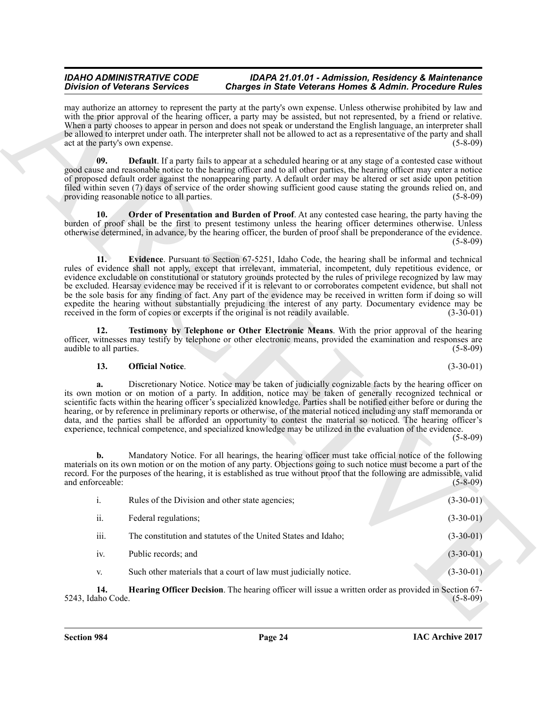#### <span id="page-23-5"></span><span id="page-23-4"></span><span id="page-23-3"></span><span id="page-23-2"></span><span id="page-23-1"></span>**13. Official Notice**. (3-30-01)

<span id="page-23-0"></span>

|                                 | <b>Division of Veterans Services</b>        | Charges in State Veterans Homes & Admin. Procedure Rules                                                                                                                                                                                                                                                                                                                                                                                                                                                                                                                                                                                                                                                                                                                                             |                |
|---------------------------------|---------------------------------------------|------------------------------------------------------------------------------------------------------------------------------------------------------------------------------------------------------------------------------------------------------------------------------------------------------------------------------------------------------------------------------------------------------------------------------------------------------------------------------------------------------------------------------------------------------------------------------------------------------------------------------------------------------------------------------------------------------------------------------------------------------------------------------------------------------|----------------|
| act at the party's own expense. |                                             | may authorize an attorney to represent the party at the party's own expense. Unless otherwise prohibited by law and<br>with the prior approval of the hearing officer, a party may be assisted, but not represented, by a friend or relative.<br>When a party chooses to appear in person and does not speak or understand the English language, an interpreter shall<br>be allowed to interpret under oath. The interpreter shall not be allowed to act as a representative of the party and shall                                                                                                                                                                                                                                                                                                  | $(5-8-09)$     |
| 09.                             | providing reasonable notice to all parties. | <b>Default</b> . If a party fails to appear at a scheduled hearing or at any stage of a contested case without<br>good cause and reasonable notice to the hearing officer and to all other parties, the hearing officer may enter a notice<br>of proposed default order against the nonappearing party. A default order may be altered or set aside upon petition<br>filed within seven (7) days of service of the order showing sufficient good cause stating the grounds relied on, and                                                                                                                                                                                                                                                                                                            | $(5-8-09)$     |
| 10.                             |                                             | Order of Presentation and Burden of Proof. At any contested case hearing, the party having the<br>burden of proof shall be the first to present testimony unless the hearing officer determines otherwise. Unless<br>otherwise determined, in advance, by the hearing officer, the burden of proof shall be preponderance of the evidence.                                                                                                                                                                                                                                                                                                                                                                                                                                                           | $(5 - 8 - 09)$ |
| 11.                             |                                             | Evidence. Pursuant to Section 67-5251, Idaho Code, the hearing shall be informal and technical<br>rules of evidence shall not apply, except that irrelevant, immaterial, incompetent, duly repetitious evidence, or<br>evidence excludable on constitutional or statutory grounds protected by the rules of privilege recognized by law may<br>be excluded. Hearsay evidence may be received if it is relevant to or corroborates competent evidence, but shall not<br>be the sole basis for any finding of fact. Any part of the evidence may be received in written form if doing so will<br>expedite the hearing without substantially prejudicing the interest of any party. Documentary evidence may be<br>received in the form of copies or excerpts if the original is not readily available. | $(3-30-01)$    |
| 12.<br>audible to all parties.  |                                             | Testimony by Telephone or Other Electronic Means. With the prior approval of the hearing<br>officer, witnesses may testify by telephone or other electronic means, provided the examination and responses are                                                                                                                                                                                                                                                                                                                                                                                                                                                                                                                                                                                        | $(5 - 8 - 09)$ |
| 13.                             | <b>Official Notice.</b>                     |                                                                                                                                                                                                                                                                                                                                                                                                                                                                                                                                                                                                                                                                                                                                                                                                      | $(3-30-01)$    |
| a.                              |                                             | Discretionary Notice. Notice may be taken of judicially cognizable facts by the hearing officer on<br>its own motion or on motion of a party. In addition, notice may be taken of generally recognized technical or<br>scientific facts within the hearing officer's specialized knowledge. Parties shall be notified either before or during the<br>hearing, or by reference in preliminary reports or otherwise, of the material noticed including any staff memoranda or<br>data, and the parties shall be afforded an opportunity to contest the material so noticed. The hearing officer's<br>experience, technical competence, and specialized knowledge may be utilized in the evaluation of the evidence.                                                                                    | $(5-8-09)$     |
| b.<br>and enforceable:          |                                             | Mandatory Notice. For all hearings, the hearing officer must take official notice of the following<br>materials on its own motion or on the motion of any party. Objections going to such notice must become a part of the<br>record. For the purposes of the hearing, it is established as true without proof that the following are admissible, valid                                                                                                                                                                                                                                                                                                                                                                                                                                              | $(5 - 8 - 09)$ |
| $i$ .                           |                                             | Rules of the Division and other state agencies;                                                                                                                                                                                                                                                                                                                                                                                                                                                                                                                                                                                                                                                                                                                                                      | $(3-30-01)$    |
| ii.                             | Federal regulations;                        |                                                                                                                                                                                                                                                                                                                                                                                                                                                                                                                                                                                                                                                                                                                                                                                                      | $(3-30-01)$    |
| iii.                            |                                             | The constitution and statutes of the United States and Idaho;                                                                                                                                                                                                                                                                                                                                                                                                                                                                                                                                                                                                                                                                                                                                        | $(3-30-01)$    |
| iv.                             | Public records; and                         |                                                                                                                                                                                                                                                                                                                                                                                                                                                                                                                                                                                                                                                                                                                                                                                                      | $(3-30-01)$    |
|                                 |                                             | Such other materials that a court of law must judicially notice.                                                                                                                                                                                                                                                                                                                                                                                                                                                                                                                                                                                                                                                                                                                                     | $(3-30-01)$    |
| V.                              |                                             |                                                                                                                                                                                                                                                                                                                                                                                                                                                                                                                                                                                                                                                                                                                                                                                                      |                |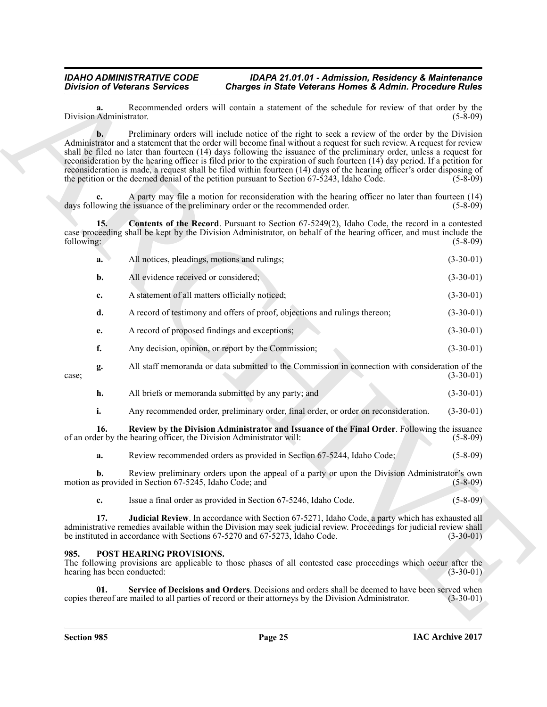<span id="page-24-1"></span>

|                                     | <b>Division of Veterans Services</b>                   | <b>Charges in State Veterans Homes &amp; Admin. Procedure Rules</b>                                                                                                                                                                                                                                                                                                                                                                                                                                                                                                                                                                                                                                          |                |
|-------------------------------------|--------------------------------------------------------|--------------------------------------------------------------------------------------------------------------------------------------------------------------------------------------------------------------------------------------------------------------------------------------------------------------------------------------------------------------------------------------------------------------------------------------------------------------------------------------------------------------------------------------------------------------------------------------------------------------------------------------------------------------------------------------------------------------|----------------|
| a.<br>Division Administrator.       |                                                        | Recommended orders will contain a statement of the schedule for review of that order by the                                                                                                                                                                                                                                                                                                                                                                                                                                                                                                                                                                                                                  | $(5-8-09)$     |
| $\mathbf{b}$ .                      |                                                        | Preliminary orders will include notice of the right to seek a review of the order by the Division<br>Administrator and a statement that the order will become final without a request for such review. A request for review<br>shall be filed no later than fourteen (14) days following the issuance of the preliminary order, unless a request for<br>reconsideration by the hearing officer is filed prior to the expiration of such fourteen (14) day period. If a petition for<br>reconsideration is made, a request shall be filed within fourteen (14) days of the hearing officer's order disposing of<br>the petition or the deemed denial of the petition pursuant to Section 67-5243, Idaho Code. | $(5-8-09)$     |
|                                     |                                                        | A party may file a motion for reconsideration with the hearing officer no later than fourteen (14)<br>days following the issuance of the preliminary order or the recommended order.                                                                                                                                                                                                                                                                                                                                                                                                                                                                                                                         | $(5-8-09)$     |
| 15.<br>following:                   |                                                        | <b>Contents of the Record.</b> Pursuant to Section 67-5249(2), Idaho Code, the record in a contested<br>case proceeding shall be kept by the Division Administrator, on behalf of the hearing officer, and must include the                                                                                                                                                                                                                                                                                                                                                                                                                                                                                  | $(5-8-09)$     |
| a.                                  | All notices, pleadings, motions and rulings;           |                                                                                                                                                                                                                                                                                                                                                                                                                                                                                                                                                                                                                                                                                                              | $(3-30-01)$    |
| b.                                  | All evidence received or considered;                   |                                                                                                                                                                                                                                                                                                                                                                                                                                                                                                                                                                                                                                                                                                              | $(3-30-01)$    |
| c.                                  | A statement of all matters officially noticed;         |                                                                                                                                                                                                                                                                                                                                                                                                                                                                                                                                                                                                                                                                                                              | $(3-30-01)$    |
| d.                                  |                                                        | A record of testimony and offers of proof, objections and rulings thereon;                                                                                                                                                                                                                                                                                                                                                                                                                                                                                                                                                                                                                                   | $(3-30-01)$    |
| e.                                  |                                                        | A record of proposed findings and exceptions;                                                                                                                                                                                                                                                                                                                                                                                                                                                                                                                                                                                                                                                                | $(3-30-01)$    |
| f.                                  |                                                        | Any decision, opinion, or report by the Commission;                                                                                                                                                                                                                                                                                                                                                                                                                                                                                                                                                                                                                                                          | $(3-30-01)$    |
| g.<br>case;                         |                                                        | All staff memoranda or data submitted to the Commission in connection with consideration of the                                                                                                                                                                                                                                                                                                                                                                                                                                                                                                                                                                                                              | $(3-30-01)$    |
| h.                                  |                                                        | All briefs or memoranda submitted by any party; and                                                                                                                                                                                                                                                                                                                                                                                                                                                                                                                                                                                                                                                          | $(3-30-01)$    |
| i.                                  |                                                        | Any recommended order, preliminary order, final order, or order on reconsideration.                                                                                                                                                                                                                                                                                                                                                                                                                                                                                                                                                                                                                          | $(3-30-01)$    |
| 16.                                 |                                                        | Review by the Division Administrator and Issuance of the Final Order. Following the issuance<br>of an order by the hearing officer, the Division Administrator will:                                                                                                                                                                                                                                                                                                                                                                                                                                                                                                                                         | $(5-8-09)$     |
| a.                                  |                                                        | Review recommended orders as provided in Section 67-5244, Idaho Code;                                                                                                                                                                                                                                                                                                                                                                                                                                                                                                                                                                                                                                        | $(5 - 8 - 09)$ |
| b.                                  | motion as provided in Section 67-5245, Idaho Code; and | Review preliminary orders upon the appeal of a party or upon the Division Administrator's own                                                                                                                                                                                                                                                                                                                                                                                                                                                                                                                                                                                                                | $(5 - 8 - 09)$ |
| c.                                  |                                                        | Issue a final order as provided in Section 67-5246, Idaho Code.                                                                                                                                                                                                                                                                                                                                                                                                                                                                                                                                                                                                                                              | $(5 - 8 - 09)$ |
| 17.                                 |                                                        | Judicial Review. In accordance with Section 67-5271, Idaho Code, a party which has exhausted all<br>administrative remedies available within the Division may seek judicial review. Proceedings for judicial review shall<br>be instituted in accordance with Sections 67-5270 and 67-5273, Idaho Code.                                                                                                                                                                                                                                                                                                                                                                                                      | $(3-30-01)$    |
| 985.<br>hearing has been conducted: | <b>POST HEARING PROVISIONS.</b>                        | The following provisions are applicable to those phases of all contested case proceedings which occur after the                                                                                                                                                                                                                                                                                                                                                                                                                                                                                                                                                                                              | $(3-30-01)$    |
| 01.                                 |                                                        | Service of Decisions and Orders. Decisions and orders shall be deemed to have been served when<br>copies thereof are mailed to all parties of record or their attorneys by the Division Administrator.                                                                                                                                                                                                                                                                                                                                                                                                                                                                                                       | $(3-30-01)$    |

#### <span id="page-24-5"></span><span id="page-24-4"></span><span id="page-24-3"></span><span id="page-24-2"></span><span id="page-24-0"></span>**985. POST HEARING PROVISIONS.**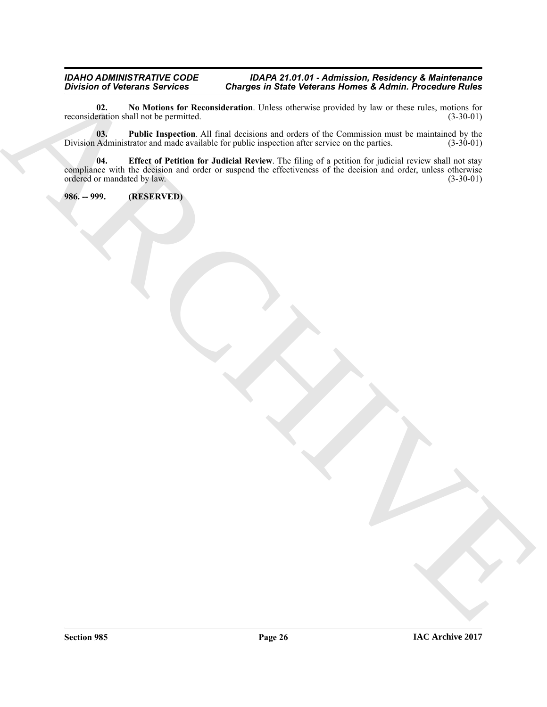#### *IDAHO ADMINISTRATIVE CODE IDAPA 21.01.01 - Admission, Residency & Maintenance Division of Veterans Services Charges in State Veterans Homes & Admin. Procedure Rules*

<span id="page-25-2"></span>**02.** No Motions for Reconsideration. Unless otherwise provided by law or these rules, motions for reation shall not be permitted. (3-30-01) reconsideration shall not be permitted.

<span id="page-25-3"></span><span id="page-25-1"></span>**03. Public Inspection**. All final decisions and orders of the Commission must be maintained by the Administrator and made available for public inspection after service on the parties. (3-30-01) Division Administrator and made available for public inspection after service on the parties.

Division of Network Service Conserves in State Veterants Homes & Admitt Procedure Rules<br>
Normalization of the United Procedure All Last describe the Second Procedure Rules<br>
Division All Last description and Last descriptio **04. Effect of Petition for Judicial Review**. The filing of a petition for judicial review shall not stay compliance with the decision and order or suspend the effectiveness of the decision and order, unless otherwise ordered or mandated by law. (3-30-01)

<span id="page-25-0"></span>**986. -- 999. (RESERVED)**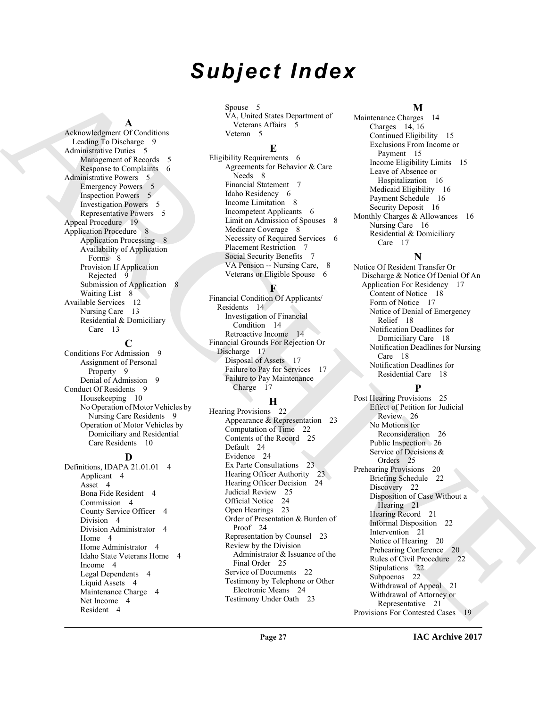## *Subject Index*

#### **A**

Acknowledgment Of Conditions Leading To Discharge 9 Administrative Duties 5 Management of Records 5 Response to Complaints 6 Administrative Powers 5 Emergency Powers 5 Inspection Powers 5 Investigation Powers 5 Representative Powers 5 Appeal Procedure 19 Application Procedure 8 Application Processing 8 Availability of Application Forms 8 Provision If Application Rejected 9 Submission of Application 8 Waiting List 8 Available Services 12 Nursing Care 13 Residential & Domiciliary Care 13

#### **C**

Conditions For Admission 9 Assignment of Personal Property 9 Denial of Admission 9 Conduct Of Residents 9 Housekeeping 10 No Operation of Motor Vehicles by Nursing Care Residents 9 Operation of Motor Vehicles by Domiciliary and Residential Care Residents 10

#### **D**

Definitions, IDAPA 21.01.01 4 Applicant 4 Asset 4 Bona Fide Resident 4 Commission 4 County Service Officer 4 Division 4 Division Administrator 4 Home 4 Home Administrator 4 Idaho State Veterans Home 4 Income 4 Legal Dependents 4 Liquid Assets 4 Maintenance Charge 4 Net Income 4 Resident 4

Spouse 5 VA, United States Department of Veterans Affairs 5 Veteran 5

#### **E**

Eligibility Requirements 6 Agreements for Behavior & Care Needs 8 Financial Statement 7 Idaho Residency 6 Income Limitation 8 Incompetent Applicants 6 Limit on Admission of Spouses 8 Medicare Coverage 8 Necessity of Required Services 6 Placement Restriction 7 Social Security Benefits 7 VA Pension -- Nursing Care, 8 Veterans or Eligible Spouse 6

#### **F**

Financial Condition Of Applicants/ Residents 14 Investigation of Financial Condition 14 Retroactive Income 14 Financial Grounds For Rejection Or Discharge 17 Disposal of Assets 17 Failure to Pay for Services 17 Failure to Pay Maintenance Charge 17

#### **H**

Hearing Provisions 22 Appearance & Representation 23 Computation of Time 22 Contents of the Record 25 Default 24 Evidence 24 Ex Parte Consultations 23 Hearing Officer Authority 23 Hearing Officer Decision 24 Judicial Review 25 Official Notice 24 Open Hearings 23 Order of Presentation & Burden of Proof 24 Representation by Counsel 23 Review by the Division Administrator & Issuance of the Final Order 25 Service of Documents 22 Testimony by Telephone or Other Electronic Means 24 Testimony Under Oath 23

#### **M**

Maintenance Charges 14 Charges 14, 16 Continued Eligibility 15 Exclusions From Income or Payment 15 Income Eligibility Limits 15 Leave of Absence or Hospitalization 16 Medicaid Eligibility 16 Payment Schedule 16 Security Deposit 16 Monthly Charges & Allowances 16 Nursing Care 16 Residential & Domiciliary Care 17

#### **N**

Notice Of Resident Transfer Or Discharge & Notice Of Denial Of An Application For Residency 17 Content of Notice 18 Form of Notice 17 Notice of Denial of Emergency Relief 18 Notification Deadlines for Domiciliary Care 18 Notification Deadlines for Nursing Care 18 Notification Deadlines for Residential Care 18

#### **P**

[A](#page-8-6)[R](#page-7-4)[C](#page-13-4)[H](#page-13-5)[I](#page-25-1)[V](#page-25-2)[E](#page-20-4) Post Hearing Provisions 25 Effect of Petition for Judicial Review 26 No Motions for Reconsideration 26 Public Inspection 26 Service of Decisions & Orders 25 Prehearing Provisions 20 Briefing Schedule 22 Discovery 22 Disposition of Case Without a Hearing 21 Hearing Record 21 Informal Disposition 22 Intervention<sup>21</sup> Notice of Hearing 20 Prehearing Conference 20 Rules of Civil Procedure 22 Stipulations 22 Subpoenas 22 Withdrawal of Appeal 21 Withdrawal of Attorney or Representative 21 Provisions For Contested Cases